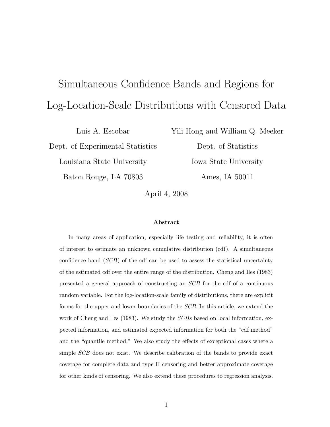# Simultaneous Confidence Bands and Regions for Log-Location-Scale Distributions with Censored Data

Luis A. Escobar Dept. of Experimental Statistics Louisiana State University Baton Rouge, LA 70803

Yili Hong and William Q. Meeker

Dept. of Statistics Iowa State University Ames, IA 50011

April 4, 2008

#### Abstract

In many areas of application, especially life testing and reliability, it is often of interest to estimate an unknown cumulative distribution (cdf). A simultaneous confidence band  $(SCB)$  of the cdf can be used to assess the statistical uncertainty of the estimated cdf over the entire range of the distribution. Cheng and Iles (1983) presented a general approach of constructing an SCB for the cdf of a continuous random variable. For the log-location-scale family of distributions, there are explicit forms for the upper and lower boundaries of the SCB. In this article, we extend the work of Cheng and Iles (1983). We study the *SCB*s based on local information, expected information, and estimated expected information for both the "cdf method" and the "quantile method." We also study the effects of exceptional cases where a simple SCB does not exist. We describe calibration of the bands to provide exact coverage for complete data and type II censoring and better approximate coverage for other kinds of censoring. We also extend these procedures to regression analysis.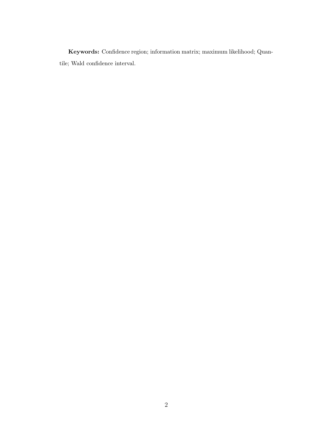Keywords: Confidence region; information matrix; maximum likelihood; Quantile; Wald confidence interval.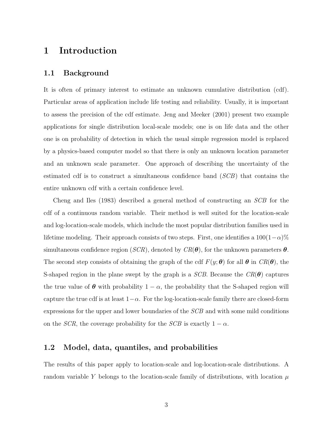### 1 Introduction

#### 1.1 Background

It is often of primary interest to estimate an unknown cumulative distribution (cdf). Particular areas of application include life testing and reliability. Usually, it is important to assess the precision of the cdf estimate. Jeng and Meeker (2001) present two example applications for single distribution local-scale models; one is on life data and the other one is on probability of detection in which the usual simple regression model is replaced by a physics-based computer model so that there is only an unknown location parameter and an unknown scale parameter. One approach of describing the uncertainty of the estimated cdf is to construct a simultaneous confidence band (SCB) that contains the entire unknown cdf with a certain confidence level.

Cheng and Iles (1983) described a general method of constructing an SCB for the cdf of a continuous random variable. Their method is well suited for the location-scale and log-location-scale models, which include the most popular distribution families used in lifetime modeling. Their approach consists of two steps. First, one identifies a  $100(1-\alpha)\%$ simultaneous confidence region (SCR), denoted by  $CR(\theta)$ , for the unknown parameters  $\theta$ . The second step consists of obtaining the graph of the cdf  $F(y; \theta)$  for all  $\theta$  in  $CR(\theta)$ , the S-shaped region in the plane swept by the graph is a  $SCB$ . Because the  $CR(\theta)$  captures the true value of  $\theta$  with probability  $1 - \alpha$ , the probability that the S-shaped region will capture the true cdf is at least  $1-\alpha$ . For the log-location-scale family there are closed-form expressions for the upper and lower boundaries of the SCB and with some mild conditions on the SCR, the coverage probability for the SCB is exactly  $1 - \alpha$ .

#### 1.2 Model, data, quantiles, and probabilities

The results of this paper apply to location-scale and log-location-scale distributions. A random variable Y belongs to the location-scale family of distributions, with location  $\mu$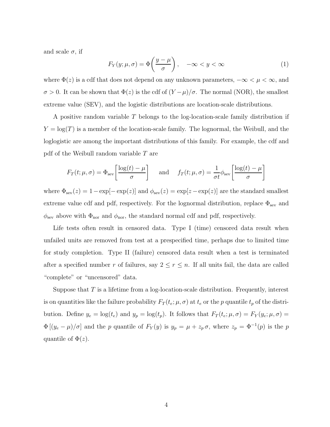and scale  $\sigma$ , if

$$
F_Y(y; \mu, \sigma) = \Phi\left(\frac{y - \mu}{\sigma}\right), \quad -\infty < y < \infty \tag{1}
$$

where  $\Phi(z)$  is a cdf that does not depend on any unknown parameters,  $-\infty < \mu < \infty$ , and σ > 0. It can be shown that  $Φ(z)$  is the cdf of  $(Y - μ)/σ$ . The normal (NOR), the smallest extreme value (SEV), and the logistic distributions are location-scale distributions.

A positive random variable T belongs to the log-location-scale family distribution if  $Y = \log(T)$  is a member of the location-scale family. The lognormal, the Weibull, and the loglogistic are among the important distributions of this family. For example, the cdf and pdf of the Weibull random variable T are

$$
F_T(t; \mu, \sigma) = \Phi_{\text{sev}} \left[ \frac{\log(t) - \mu}{\sigma} \right] \quad \text{and} \quad f_T(t; \mu, \sigma) = \frac{1}{\sigma t} \phi_{\text{sev}} \left[ \frac{\log(t) - \mu}{\sigma} \right]
$$

where  $\Phi_{\text{sev}}(z) = 1 - \exp[-\exp(z)]$  and  $\phi_{\text{sev}}(z) = \exp[z - \exp(z)]$  are the standard smallest extreme value cdf and pdf, respectively. For the lognormal distribution, replace  $\Phi_{\text{sev}}$  and  $\phi_{\text{sev}}$  above with  $\Phi_{\text{nor}}$  and  $\phi_{\text{nor}}$ , the standard normal cdf and pdf, respectively.

Life tests often result in censored data. Type I (time) censored data result when unfailed units are removed from test at a prespecified time, perhaps due to limited time for study completion. Type II (failure) censored data result when a test is terminated after a specified number r of failures, say  $2 \le r \le n$ . If all units fail, the data are called "complete" or "uncensored" data.

Suppose that  $T$  is a lifetime from a log-location-scale distribution. Frequently, interest is on quantities like the failure probability  $F_T(t_e; \mu, \sigma)$  at  $t_e$  or the p quantile  $t_p$  of the distribution. Define  $y_e = \log(t_e)$  and  $y_p = \log(t_p)$ . It follows that  $F_T(t_e; \mu, \sigma) = F_Y(y_e; \mu, \sigma)$  $\Phi[(y_e - \mu)/\sigma]$  and the p quantile of  $F_Y(y)$  is  $y_p = \mu + z_p \sigma$ , where  $z_p = \Phi^{-1}(p)$  is the p quantile of  $\Phi(z)$ .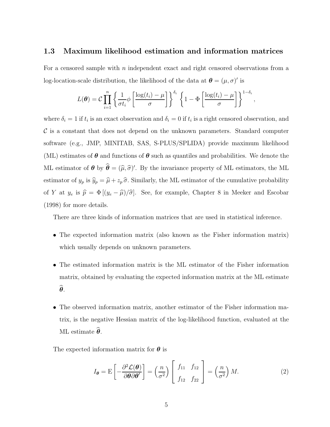#### 1.3 Maximum likelihood estimation and information matrices

For a censored sample with  $n$  independent exact and right censored observations from a log-location-scale distribution, the likelihood of the data at  $\boldsymbol{\theta} = (\mu, \sigma)'$  is

$$
L(\boldsymbol{\theta}) = C \prod_{i=1}^{n} \left\{ \frac{1}{\sigma t_i} \phi \left[ \frac{\log(t_i) - \mu}{\sigma} \right] \right\}^{\delta_i} \left\{ 1 - \Phi \left[ \frac{\log(t_i) - \mu}{\sigma} \right] \right\}^{1 - \delta_i},
$$

where  $\delta_i = 1$  if  $t_i$  is an exact observation and  $\delta_i = 0$  if  $t_i$  is a right censored observation, and  $\mathcal C$  is a constant that does not depend on the unknown parameters. Standard computer software (e.g., JMP, MINITAB, SAS, S-PLUS/SPLIDA) provide maximum likelihood (ML) estimates of  $\theta$  and functions of  $\theta$  such as quantiles and probabilities. We denote the ML estimator of  $\theta$  by  $\theta = (\hat{\mu}, \hat{\sigma})'$ . By the invariance property of ML estimators, the ML estimator of  $y_p$  is  $\widehat{y}_p = \widehat{\mu} + z_p \widehat{\sigma}$ . Similarly, the ML estimator of the cumulative probability of Y at  $y_e$  is  $\hat{p} = \Phi \left[ (y_e - \hat{\mu})/\hat{\sigma} \right]$ . See, for example, Chapter 8 in Meeker and Escobar (1998) for more details.

There are three kinds of information matrices that are used in statistical inference.

- The expected information matrix (also known as the Fisher information matrix) which usually depends on unknown parameters.
- The estimated information matrix is the ML estimator of the Fisher information matrix, obtained by evaluating the expected information matrix at the ML estimate  $\widehat{\boldsymbol{\theta}}$ .
- The observed information matrix, another estimator of the Fisher information matrix, is the negative Hessian matrix of the log-likelihood function, evaluated at the ML estimate  $\widehat{\boldsymbol{\theta}}$ .

The expected information matrix for  $\boldsymbol{\theta}$  is

$$
I_{\theta} = \mathcal{E}\left[-\frac{\partial^2 \mathcal{L}(\theta)}{\partial \theta \partial \theta'}\right] = \left(\frac{n}{\sigma^2}\right) \left[\begin{array}{cc} f_{11} & f_{12} \\ f_{12} & f_{22} \end{array}\right] = \left(\frac{n}{\sigma^2}\right) M. \tag{2}
$$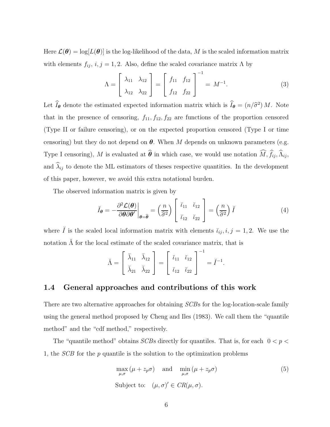Here  $\mathcal{L}(\theta) = \log[L(\theta)]$  is the log-likelihood of the data, M is the scaled information matrix with elements  $f_{ij}$ ,  $i, j = 1, 2$ . Also, define the scaled covariance matrix  $\Lambda$  by

$$
\Lambda = \begin{bmatrix} \lambda_{11} & \lambda_{12} \\ \lambda_{12} & \lambda_{22} \end{bmatrix} = \begin{bmatrix} f_{11} & f_{12} \\ f_{12} & f_{22} \end{bmatrix}^{-1} = M^{-1}.
$$
 (3)

Let  $I_{\theta}$  denote the estimated expected information matrix which is  $I_{\theta} = (n/\hat{\sigma}^2) M$ . Note that in the presence of censoring,  $f_{11}, f_{12}, f_{22}$  are functions of the proportion censored (Type II or failure censoring), or on the expected proportion censored (Type I or time censoring) but they do not depend on  $\theta$ . When M depends on unknown parameters (e.g. Type I censoring), M is evaluated at  $\widehat{\theta}$  in which case, we would use notation  $\widehat{M}$ ,  $\widehat{f}_{ij}$ ,  $\widehat{\Lambda}_{ij}$ , and  $\hat{\lambda}_{ij}$  to denote the ML estimators of theses respective quantities. In the development of this paper, however, we avoid this extra notational burden.

The observed information matrix is given by

$$
\breve{I}_{\theta} = -\frac{\partial^2 \mathcal{L}(\theta)}{\partial \theta \partial \theta'}\bigg|_{\theta = \widehat{\theta}} = \left(\frac{n}{\widehat{\sigma}^2}\right) \begin{bmatrix} \breve{\iota}_{11} & \breve{\iota}_{12} \\ \breve{\iota}_{12} & \breve{\iota}_{22} \end{bmatrix} = \left(\frac{n}{\widehat{\sigma}^2}\right) \breve{I}
$$
(4)

where  $\check{I}$  is the scaled local information matrix with elements  $\check{i}_{ij}, i, j = 1, 2$ . We use the notation  $\tilde{\Lambda}$  for the local estimate of the scaled covariance matrix, that is

$$
\breve{\Lambda} = \begin{bmatrix} \breve{\lambda}_{11} & \breve{\lambda}_{12} \\ \breve{\lambda}_{21} & \breve{\lambda}_{22} \end{bmatrix} = \begin{bmatrix} \breve{\iota}_{11} & \breve{\iota}_{12} \\ \breve{\iota}_{12} & \breve{\iota}_{22} \end{bmatrix}^{-1} = \breve{I}^{-1}.
$$

#### 1.4 General approaches and contributions of this work

There are two alternative approaches for obtaining SCBs for the log-location-scale family using the general method proposed by Cheng and Iles (1983). We call them the "quantile method" and the "cdf method," respectively.

The "quantile method" obtains  $SCBs$  directly for quantiles. That is, for each  $0 < p <$ 1, the *SCB* for the p quantile is the solution to the optimization problems

$$
\max_{\mu,\sigma} (\mu + z_p \sigma) \quad \text{and} \quad \min_{\mu,\sigma} (\mu + z_p \sigma) \tag{5}
$$
  
Subject to:  $(\mu, \sigma)' \in CR(\mu, \sigma)$ .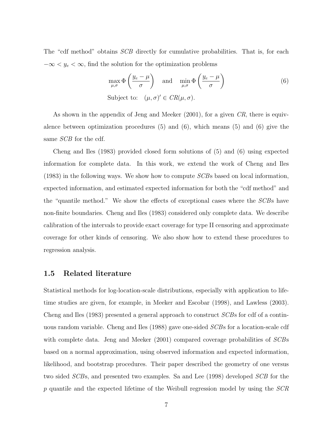The "cdf method" obtains *SCB* directly for cumulative probabilities. That is, for each  $-\infty < y_e < \infty$ , find the solution for the optimization problems

$$
\max_{\mu,\sigma} \Phi\left(\frac{y_e - \mu}{\sigma}\right) \quad \text{and} \quad \min_{\mu,\sigma} \Phi\left(\frac{y_e - \mu}{\sigma}\right)
$$
\nSubject to:

\n
$$
(\mu, \sigma)' \in CR(\mu, \sigma).
$$
\n(6)

As shown in the appendix of Jeng and Meeker (2001), for a given CR, there is equivalence between optimization procedures (5) and (6), which means (5) and (6) give the same *SCB* for the cdf.

Cheng and Iles (1983) provided closed form solutions of (5) and (6) using expected information for complete data. In this work, we extend the work of Cheng and Iles  $(1983)$  in the following ways. We show how to compute  $SCB$ s based on local information, expected information, and estimated expected information for both the "cdf method" and the "quantile method." We show the effects of exceptional cases where the SCBs have non-finite boundaries. Cheng and Iles (1983) considered only complete data. We describe calibration of the intervals to provide exact coverage for type II censoring and approximate coverage for other kinds of censoring. We also show how to extend these procedures to regression analysis.

#### 1.5 Related literature

Statistical methods for log-location-scale distributions, especially with application to lifetime studies are given, for example, in Meeker and Escobar (1998), and Lawless (2003). Cheng and Iles (1983) presented a general approach to construct SCBs for cdf of a continuous random variable. Cheng and Iles (1988) gave one-sided SCBs for a location-scale cdf with complete data. Jeng and Meeker (2001) compared coverage probabilities of *SCB*s based on a normal approximation, using observed information and expected information, likelihood, and bootstrap procedures. Their paper described the geometry of one versus two sided SCBs, and presented two examples. Sa and Lee (1998) developed SCB for the  $p$  quantile and the expected lifetime of the Weibull regression model by using the  $SCR$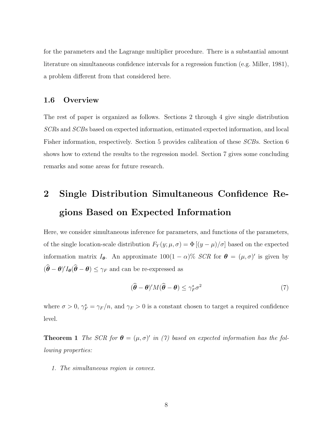for the parameters and the Lagrange multiplier procedure. There is a substantial amount literature on simultaneous confidence intervals for a regression function (e.g. Miller, 1981), a problem different from that considered here.

#### 1.6 Overview

The rest of paper is organized as follows. Sections 2 through 4 give single distribution SCRs and SCBs based on expected information, estimated expected information, and local Fisher information, respectively. Section 5 provides calibration of these SCBs. Section 6 shows how to extend the results to the regression model. Section 7 gives some concluding remarks and some areas for future research.

# 2 Single Distribution Simultaneous Confidence Regions Based on Expected Information

Here, we consider simultaneous inference for parameters, and functions of the parameters, of the single location-scale distribution  $F_Y(y; \mu, \sigma) = \Phi[(y - \mu)/\sigma]$  based on the expected information matrix  $I_{\theta}$ . An approximate  $100(1-\alpha)\%$  SCR for  $\theta = (\mu, \sigma)'$  is given by  $(\boldsymbol{\theta} - \boldsymbol{\theta})' I_{\boldsymbol{\theta}}(\boldsymbol{\theta} - \boldsymbol{\theta}) \leq \gamma_F$  and can be re-expressed as

$$
(\widehat{\boldsymbol{\theta}} - \boldsymbol{\theta})' M (\widehat{\boldsymbol{\theta}} - \boldsymbol{\theta}) \le \gamma_F^s \sigma^2 \tag{7}
$$

where  $\sigma > 0$ ,  $\gamma_F^s = \gamma_F/n$ , and  $\gamma_F > 0$  is a constant chosen to target a required confidence level.

**Theorem 1** The SCR for  $\boldsymbol{\theta} = (\mu, \sigma)'$  in (7) based on expected information has the following properties:

1. The simultaneous region is convex.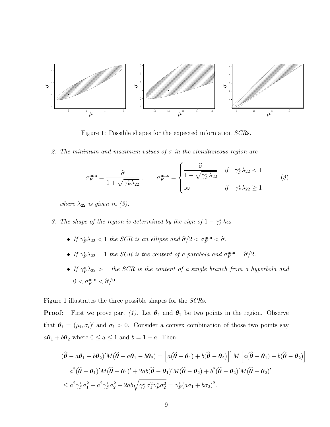

Figure 1: Possible shapes for the expected information SCRs.

2. The minimum and maximum values of  $\sigma$  in the simultaneous region are

$$
\sigma_F^{\min} = \frac{\widehat{\sigma}}{1 + \sqrt{\gamma_F^s \lambda_{22}}}, \qquad \sigma_F^{\max} = \begin{cases} \frac{\widehat{\sigma}}{1 - \sqrt{\gamma_F^s \lambda_{22}}} & \text{if } \gamma_F^s \lambda_{22} < 1\\ \infty & \text{if } \gamma_F^s \lambda_{22} \ge 1 \end{cases} \tag{8}
$$

where  $\lambda_{22}$  is given in (3).

- 3. The shape of the region is determined by the sign of  $1 \gamma_F^s \lambda_{22}$ 
	- If  $\gamma_F^s \lambda_{22} < 1$  the SCR is an ellipse and  $\hat{\sigma}/2 < \sigma_F^{\min} < \hat{\sigma}$ .
	- If  $\gamma_F^s \lambda_{22} = 1$  the SCR is the content of a parabola and  $\sigma_F^{\min} = \hat{\sigma}/2$ .
	- If  $\gamma_F^s \lambda_{22} > 1$  the SCR is the content of a single branch from a hyperbola and  $0 < \sigma_F^{\min} < \widehat{\sigma}/2.$

Figure 1 illustrates the three possible shapes for the SCRs.

**Proof:** First we prove part (1). Let  $\theta_1$  and  $\theta_2$  be two points in the region. Observe that  $\theta_i = (\mu_i, \sigma_i)'$  and  $\sigma_i > 0$ . Consider a convex combination of those two points say  $a\theta_1 + b\theta_2$  where  $0 \le a \le 1$  and  $b = 1 - a$ . Then

$$
\begin{split}\n(\widehat{\boldsymbol{\theta}} - a\boldsymbol{\theta}_{1} - b\boldsymbol{\theta}_{2})'M(\widehat{\boldsymbol{\theta}} - a\boldsymbol{\theta}_{1} - b\boldsymbol{\theta}_{2}) &= \left[a(\widehat{\boldsymbol{\theta}} - \boldsymbol{\theta}_{1}) + b(\widehat{\boldsymbol{\theta}} - \boldsymbol{\theta}_{2})\right]'M\left[a(\widehat{\boldsymbol{\theta}} - \boldsymbol{\theta}_{1}) + b(\widehat{\boldsymbol{\theta}} - \boldsymbol{\theta}_{2})\right] \\
&= a^{2}(\widehat{\boldsymbol{\theta}} - \boldsymbol{\theta}_{1})'M(\widehat{\boldsymbol{\theta}} - \boldsymbol{\theta}_{1})' + 2ab(\widehat{\boldsymbol{\theta}} - \boldsymbol{\theta}_{1})'M(\widehat{\boldsymbol{\theta}} - \boldsymbol{\theta}_{2}) + b^{2}(\widehat{\boldsymbol{\theta}} - \boldsymbol{\theta}_{2})'M(\widehat{\boldsymbol{\theta}} - \boldsymbol{\theta}_{2})' \\
&\le a^{2}\gamma_{F}^{s}\sigma_{1}^{2} + a^{2}\gamma_{F}^{s}\sigma_{2}^{2} + 2ab\sqrt{\gamma_{F}^{s}\sigma_{1}^{2}\gamma_{F}^{s}\sigma_{2}^{2}} = \gamma_{F}^{s}(a\sigma_{1} + b\sigma_{2})^{2}.\n\end{split}
$$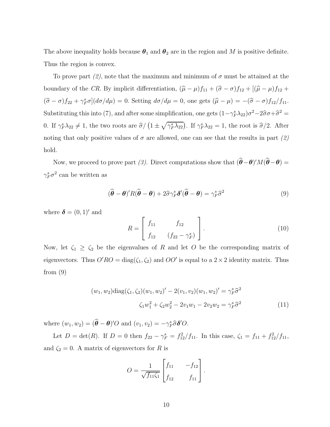The above inequality holds because  $\theta_1$  and  $\theta_2$  are in the region and M is positive definite. Thus the region is convex.

To prove part (2), note that the maximum and minimum of  $\sigma$  must be attained at the boundary of the CR. By implicit differentiation,  $(\hat{\mu} - \mu)f_{11} + (\hat{\sigma} - \sigma)f_{12} + [(\hat{\mu} - \mu)f_{12} +$  $(\hat{\sigma} - \sigma) f_{22} + \gamma_F^s \sigma (d\sigma/d\mu) = 0$ . Setting  $d\sigma/d\mu = 0$ , one gets  $(\hat{\mu} - \mu) = -(\hat{\sigma} - \sigma) f_{12}/f_{11}$ . Substituting this into (7), and after some simplification, one gets  $(1 - \gamma_F^s \lambda_{22})\sigma^2 - 2\hat{\sigma}\sigma + \hat{\sigma}^2 =$ 0. If  $\gamma_F^s \lambda_{22} \neq 1$ , the two roots are  $\hat{\sigma}/(1 \pm \sqrt{\gamma_F^s \lambda_{22}})$ . If  $\gamma_F^s \lambda_{22} = 1$ , the root is  $\hat{\sigma}/2$ . After noting that only positive values of  $\sigma$  are allowed, one can see that the results in part (2) hold.

Now, we proceed to prove part (3). Direct computations show that  $(\theta - \theta)'M(\theta - \theta) =$  $\gamma_F^s \sigma^2$  can be written as

$$
(\widehat{\boldsymbol{\theta}} - \boldsymbol{\theta})' R (\widehat{\boldsymbol{\theta}} - \boldsymbol{\theta}) + 2\widehat{\sigma} \gamma_F^s \delta' (\widehat{\boldsymbol{\theta}} - \boldsymbol{\theta}) = \gamma_F^s \widehat{\sigma}^2
$$
\n(9)

where  $\boldsymbol{\delta} = (0, 1)'$  and

$$
R = \begin{bmatrix} f_{11} & f_{12} \\ f_{12} & (f_{22} - \gamma_F^s) \end{bmatrix} .
$$
 (10)

Now, let  $\zeta_1 \geq \zeta_2$  be the eigenvalues of R and let O be the corresponding matrix of eigenvectors. Thus  $O'RO = \text{diag}(\zeta_1, \zeta_2)$  and  $OO'$  is equal to a  $2 \times 2$  identity matrix. Thus from  $(9)$ 

$$
(w_1, w_2) \text{diag}(\zeta_1, \zeta_2)(w_1, w_2)' - 2(v_1, v_2)(w_1, w_2)' = \gamma_F^s \hat{\sigma}^2
$$

$$
\zeta_1 w_1^2 + \zeta_2 w_2^2 - 2v_1 w_1 - 2v_2 w_2 = \gamma_F^s \hat{\sigma}^2
$$
(11)

where  $(w_1, w_2) = (\hat{\boldsymbol{\theta}} - \boldsymbol{\theta})'O$  and  $(v_1, v_2) = -\gamma_F^s \hat{\sigma} \delta' O$ .

Let  $D = \det(R)$ . If  $D = 0$  then  $f_{22} - \gamma_F^s = f_{12}^2/f_{11}$ . In this case,  $\zeta_1 = f_{11} + f_{12}^2/f_{11}$ , and  $\zeta_2 = 0$ . A matrix of eigenvectors for R is

$$
O = \frac{1}{\sqrt{f_{11}\zeta_1}} \begin{bmatrix} f_{11} & -f_{12} \\ f_{12} & f_{11} \end{bmatrix}.
$$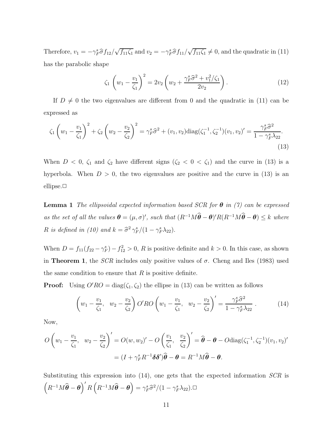Therefore,  $v_1 = -\gamma_F^s \hat{\sigma} f_{12}/\sqrt{f_{11} \zeta_1}$  and  $v_2 = -\gamma_F^s \hat{\sigma} f_{11}/\sqrt{f_{11} \zeta_1} \neq 0$ , and the quadratic in (11) has the parabolic shape

$$
\zeta_1 \left( w_1 - \frac{v_1}{\zeta_1} \right)^2 = 2v_2 \left( w_2 + \frac{\gamma_F^s \widehat{\sigma}^2 + v_1^2/\zeta_1}{2v_2} \right). \tag{12}
$$

If  $D \neq 0$  the two eigenvalues are different from 0 and the quadratic in (11) can be expressed as

$$
\zeta_1 \left( w_1 - \frac{v_1}{\zeta_1} \right)^2 + \zeta_2 \left( w_2 - \frac{v_2}{\zeta_2} \right)^2 = \gamma_F^s \hat{\sigma}^2 + (v_1, v_2) \text{diag}(\zeta_1^{-1}, \zeta_2^{-1}) (v_1, v_2)' = \frac{\gamma_F^s \hat{\sigma}^2}{1 - \gamma_F^s \lambda_{22}}.
$$
\n(13)

When  $D < 0$ ,  $\zeta_1$  and  $\zeta_2$  have different signs  $(\zeta_2 < 0 < \zeta_1)$  and the curve in (13) is a hyperbola. When  $D > 0$ , the two eigenvalues are positive and the curve in (13) is an ellipse.**□** 

**Lemma 1** The ellipsoidal expected information based SCR for  $\theta$  in (7) can be expressed as the set of all the values  $\boldsymbol{\theta} = (\mu, \sigma)'$ , such that  $(R^{-1}M\hat{\boldsymbol{\theta}} - \boldsymbol{\theta})'R(R^{-1}M\hat{\boldsymbol{\theta}} - \boldsymbol{\theta}) \leq k$  where R is defined in (10) and  $k = \hat{\sigma}^2 \gamma_F^s / (1 - \gamma_F^s \lambda_{22}).$ 

When  $D = f_{11}(f_{22} - \gamma_F^s) - f_{12}^2 > 0$ , R is positive definite and  $k > 0$ . In this case, as shown in Theorem 1, the *SCR* includes only positive values of  $\sigma$ . Cheng and Iles (1983) used the same condition to ensure that  $R$  is positive definite.

**Proof:** Using  $O'RO = \text{diag}(\zeta_1, \zeta_2)$  the ellipse in (13) can be written as follows

$$
\left(w_1 - \frac{v_1}{\zeta_1}, w_2 - \frac{v_2}{\zeta_2}\right) O'RO\left(w_1 - \frac{v_1}{\zeta_1}, w_2 - \frac{v_2}{\zeta_2}\right)' = \frac{\gamma_F^s \hat{\sigma}^2}{1 - \gamma_F^s \lambda_{22}}.
$$
\n(14)

Now,

$$
O\left(w_1 - \frac{v_1}{\zeta_1}, w_2 - \frac{v_2}{\zeta_2}\right)' = O(w, w_2)' - O\left(\frac{v_1}{\zeta_1}, \frac{v_2}{\zeta_2}\right)' = \hat{\boldsymbol{\theta}} - \boldsymbol{\theta} - O \text{diag}(\zeta_1^{-1}, \zeta_2^{-1})(v_1, v_2)'
$$

$$
= (I + \gamma_F^s R^{-1} \delta \delta') \hat{\boldsymbol{\theta}} - \boldsymbol{\theta} = R^{-1} M \hat{\boldsymbol{\theta}} - \boldsymbol{\theta}.
$$

Substituting this expression into  $(14)$ , one gets that the expected information  $SCR$  is  $(R^{-1}M\hat{\boldsymbol{\theta}} - \boldsymbol{\theta})' R (R^{-1}M\hat{\boldsymbol{\theta}} - \boldsymbol{\theta}) = \gamma_F^s \hat{\sigma}^2/(1 - \gamma_F^s \lambda_{22}). \square$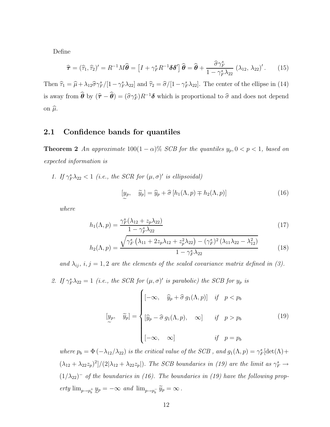Define

$$
\widehat{\boldsymbol{\tau}} = (\widehat{\tau}_1, \widehat{\tau}_2)' = R^{-1} M \widehat{\boldsymbol{\theta}} = \left[ I + \gamma_F^s R^{-1} \delta \delta' \right] \widehat{\boldsymbol{\theta}} = \widehat{\boldsymbol{\theta}} + \frac{\widehat{\sigma} \gamma_F^s}{1 - \gamma_F^s \lambda_{22}} \left( \lambda_{12}, \lambda_{22} \right)' . \tag{15}
$$

Then  $\hat{\tau}_1 = \hat{\mu} + \lambda_{12} \hat{\sigma} \gamma_F^s / [1 - \gamma_F^s \lambda_{22}]$  and  $\hat{\tau}_2 = \hat{\sigma} / [1 - \gamma_F^s \lambda_{22}]$ . The center of the ellipse in (14) is away from  $\hat{\theta}$  by  $(\hat{\tau} - \hat{\theta}) = (\hat{\sigma}\gamma_F^s)R^{-1}\delta$  which is proportional to  $\hat{\sigma}$  and does not depend on  $\hat{\mu}$ .

#### 2.1 Confidence bands for quantiles

**Theorem 2** An approximate  $100(1 - \alpha)$ % SCB for the quantiles  $y_p, 0 < p < 1$ , based on expected information is

1. If  $\gamma_F^s \lambda_{22} < 1$  (i.e., the SCR for  $(\mu, \sigma)'$  is ellipsoidal)

$$
[y_p, \quad \widetilde{y}_p] = \widehat{y}_p + \widehat{\sigma} \left[ h_1(\Lambda, p) \mp h_2(\Lambda, p) \right] \tag{16}
$$

where

$$
h_1(\Lambda, p) = \frac{\gamma_F^s (\lambda_{12} + z_p \lambda_{22})}{1 - \gamma_F^s \lambda_{22}} \tag{17}
$$

$$
h_2(\Lambda, p) = \frac{\sqrt{\gamma_F^s \left(\lambda_{11} + 2z_p \lambda_{12} + z_p^2 \lambda_{22}\right) - (\gamma_F^s)^2 \left(\lambda_{11} \lambda_{22} - \lambda_{12}^2\right)}}{1 - \gamma_F^s \lambda_{22}} \tag{18}
$$

and  $\lambda_{ij}$ ,  $i, j = 1, 2$  are the elements of the scaled covariance matrix defined in (3).

2. If  $\gamma_F^s \lambda_{22} = 1$  (i.e., the SCR for  $(\mu, \sigma)'$  is parabolic) the SCB for  $y_p$  is

$$
\begin{bmatrix} y_p, & \widetilde{y}_p \end{bmatrix} = \begin{cases} \left[ -\infty, & \widehat{y}_p + \widehat{\sigma} \, g_1(\Lambda, p) \right] & \text{if } p < p_b \\ \left[ \widehat{y}_p - \widehat{\sigma} \, g_1(\Lambda, p), & \infty \right] & \text{if } p > p_b \\ \left[ -\infty, & \infty \right] & \text{if } p = p_b \end{cases} \tag{19}
$$

where  $p_b = \Phi(-\lambda_{12}/\lambda_{22})$  is the critical value of the SCB, and  $g_1(\Lambda, p) = \gamma_F^s[\det(\Lambda) +$  $(\lambda_{12} + \lambda_{22}z_p)^2/(2|\lambda_{12} + \lambda_{22}z_p|)$ . The SCB boundaries in (19) are the limit as  $\gamma_F^s \to$  $(1/\lambda_{22})^-$  of the boundaries in (16). The boundaries in (19) have the following property  $\lim_{p\to p_b^+} y_p = -\infty$  and  $\lim_{p\to p_b^-} \widetilde{y}_p = \infty$ .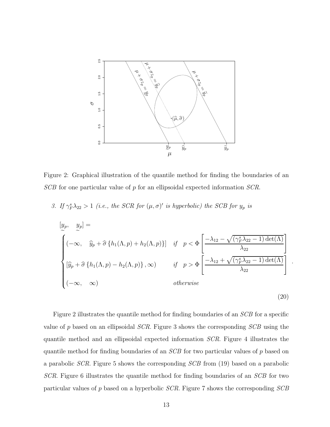

Figure 2: Graphical illustration of the quantile method for finding the boundaries of an  $SCB$  for one particular value of p for an ellipsoidal expected information  $SCR$ .

3. If  $\gamma_F^*\lambda_{22} > 1$  (i.e., the SCR for  $(\mu, \sigma)'$  is hyperbolic) the SCB for  $y_p$  is

$$
\begin{bmatrix} y_p, & y_p \end{bmatrix} =
$$
\n
$$
\begin{bmatrix} (-\infty, & \hat{y}_p + \hat{\sigma} \{h_1(\Lambda, p) + h_2(\Lambda, p)\}] & \text{if } p < \Phi \end{bmatrix} \begin{bmatrix} -\lambda_{12} - \sqrt{(\gamma_F^s \lambda_{22} - 1) \det(\Lambda)} \\ \lambda_{22} \end{bmatrix}
$$
\n
$$
\begin{bmatrix} \hat{y}_p + \hat{\sigma} \{h_1(\Lambda, p) - h_2(\Lambda, p)\}, \infty) & \text{if } p > \Phi \end{bmatrix} \begin{bmatrix} -\lambda_{12} + \sqrt{(\gamma_F^s \lambda_{22} - 1) \det(\Lambda)} \\ \lambda_{22} \end{bmatrix}
$$
\n
$$
otherwise
$$

.

(20)

Figure 2 illustrates the quantile method for finding boundaries of an SCB for a specific value of p based on an ellipsoidal SCR. Figure 3 shows the corresponding SCB using the quantile method and an ellipsoidal expected information SCR. Figure 4 illustrates the quantile method for finding boundaries of an SCB for two particular values of p based on a parabolic SCR. Figure 5 shows the corresponding SCB from (19) based on a parabolic SCR. Figure 6 illustrates the quantile method for finding boundaries of an SCB for two particular values of p based on a hyperbolic SCR. Figure 7 shows the corresponding SCB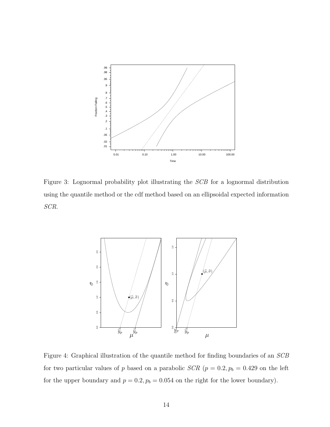

Figure 3: Lognormal probability plot illustrating the SCB for a lognormal distribution using the quantile method or the cdf method based on an ellipsoidal expected information SCR.



Figure 4: Graphical illustration of the quantile method for finding boundaries of an SCB for two particular values of p based on a parabolic  $SCR$  ( $p = 0.2, p_b = 0.429$ ) on the left for the upper boundary and  $p = 0.2$ ,  $p_b = 0.054$  on the right for the lower boundary).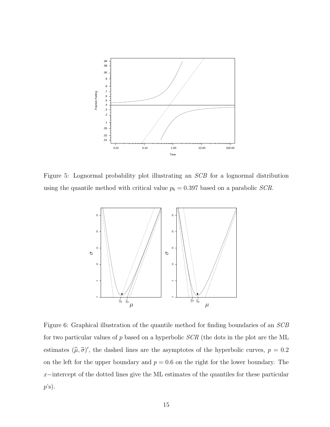

Figure 5: Lognormal probability plot illustrating an SCB for a lognormal distribution using the quantile method with critical value  $p_b = 0.397$  based on a parabolic *SCR*.



Figure 6: Graphical illustration of the quantile method for finding boundaries of an SCB for two particular values of p based on a hyperbolic SCR (the dots in the plot are the ML estimates  $(\hat{\mu}, \hat{\sigma})'$ , the dashed lines are the asymptotes of the hyperbolic curves,  $p = 0.2$ on the left for the upper boundary and  $p = 0.6$  on the right for the lower boundary. The x−intercept of the dotted lines give the ML estimates of the quantiles for these particular  $p$ 's).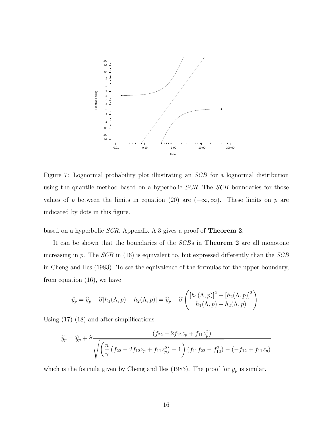

Figure 7: Lognormal probability plot illustrating an SCB for a lognormal distribution using the quantile method based on a hyperbolic *SCR*. The *SCB* boundaries for those values of p between the limits in equation (20) are  $(-\infty, \infty)$ . These limits on p are indicated by dots in this figure.

based on a hyperbolic SCR. Appendix A.3 gives a proof of Theorem 2.

It can be shown that the boundaries of the SCBs in Theorem 2 are all monotone increasing in p. The  $SCB$  in (16) is equivalent to, but expressed differently than the  $SCB$ in Cheng and Iles (1983). To see the equivalence of the formulas for the upper boundary, from equation (16), we have

$$
\widetilde{y}_p = \widehat{y}_p + \widehat{\sigma}[h_1(\Lambda, p) + h_2(\Lambda, p)] = \widehat{y}_p + \widehat{\sigma}\left(\frac{\left[h_1(\Lambda, p)\right]^2 - \left[h_2(\Lambda, p)\right]^2}{h_1(\Lambda, p) - h_2(\Lambda, p)}\right).
$$

Using  $(17)-(18)$  and after simplifications

$$
\widetilde{y}_p = \widehat{y}_p + \widehat{\sigma} \frac{(f_{22} - 2f_{12}z_p + f_{11}z_p^2)}{\sqrt{\left(\frac{n}{\gamma}\left(f_{22} - 2f_{12}z_p + f_{11}z_p^2\right) - 1\right)\left(f_{11}f_{22} - f_{12}^2\right) - (-f_{12} + f_{11}z_p)}}
$$

which is the formula given by Cheng and Iles (1983). The proof for  $y_p$  is similar.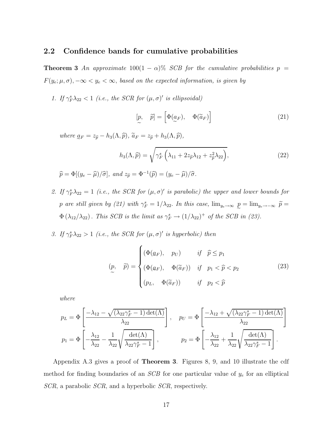#### 2.2 Confidence bands for cumulative probabilities

**Theorem 3** An approximate  $100(1 - \alpha)\%$  SCB for the cumulative probabilities  $p =$  $F(y_e; \mu, \sigma)$ ,  $-\infty < y_e < \infty$ , based on the expected information, is given by

1. If  $\gamma_F^s \lambda_{22} < 1$  (i.e., the SCR for  $(\mu, \sigma)'$  is ellipsoidal)

$$
\begin{bmatrix} p, & \widetilde{p} \end{bmatrix} = \begin{bmatrix} \Phi(a_F), & \Phi(\widetilde{a}_F) \end{bmatrix}
$$
 (21)

where  $\underline{a}_F = z_{\widehat{p}} - h_3(\Lambda, \widehat{p}), \widetilde{a}_F = z_{\widehat{p}} + h_3(\Lambda, \widehat{p}),$ 

$$
h_3(\Lambda, \widehat{p}) = \sqrt{\gamma_F^s \left(\lambda_{11} + 2z_{\widehat{p}}\lambda_{12} + z_{\widehat{p}}^2\lambda_{22}\right)},
$$
\n(22)

$$
\widehat{p} = \Phi[(y_e - \widehat{\mu})/\widehat{\sigma}], \text{ and } z_{\widehat{p}} = \Phi^{-1}(\widehat{p}) = (y_e - \widehat{\mu})/\widehat{\sigma}.
$$

- 2. If  $\gamma_F^*\lambda_{22} = 1$  (i.e., the SCR for  $(\mu, \sigma)'$  is parabolic) the upper and lower bounds for p are still given by (21) with  $\gamma_F^s = 1/\lambda_{22}$ . In this case,  $\lim_{y_e \to \infty} p = \lim_{y_e \to -\infty} \tilde{p} =$  $\Phi(\lambda_{12}/\lambda_{22})$ . This SCB is the limit as  $\gamma_F^s \to (1/\lambda_{22})^+$  of the SCB in (23).
- 3. If  $\gamma_F^s \lambda_{22} > 1$  (i.e., the SCR for  $(\mu, \sigma)'$  is hyperbolic) then

$$
(p, \quad \widetilde{p}) = \begin{cases} (\Phi(a_F), \quad p_U) & \text{if } \widehat{p} \le p_1 \\ (\Phi(a_F), \quad \Phi(\widetilde{a}_F)) & \text{if } \widehat{p}_1 < \widehat{p} < p_2 \\ (p_L, \quad \Phi(\widetilde{a}_F)) & \text{if } \widehat{p}_2 < \widehat{p} \end{cases} \tag{23}
$$

where

$$
p_L = \Phi\left[\frac{-\lambda_{12} - \sqrt{(\lambda_{22}\gamma_F^s - 1)\det(\Lambda)}}{\lambda_{22}}\right], \quad p_U = \Phi\left[\frac{-\lambda_{12} + \sqrt{(\lambda_{22}\gamma_F^s - 1)\det(\Lambda)}}{\lambda_{22}}\right]
$$

$$
p_1 = \Phi\left[-\frac{\lambda_{12}}{\lambda_{22}} - \frac{1}{\lambda_{22}}\sqrt{\frac{\det(\Lambda)}{\lambda_{22}\gamma_F^s - 1}}\right], \qquad p_2 = \Phi\left[-\frac{\lambda_{12}}{\lambda_{22}} + \frac{1}{\lambda_{22}}\sqrt{\frac{\det(\Lambda)}{\lambda_{22}\gamma_F^s - 1}}\right].
$$

Appendix A.3 gives a proof of Theorem 3. Figures 8, 9, and 10 illustrate the cdf method for finding boundaries of an  $SCB$  for one particular value of  $y_e$  for an elliptical SCR, a parabolic SCR, and a hyperbolic SCR, respectively.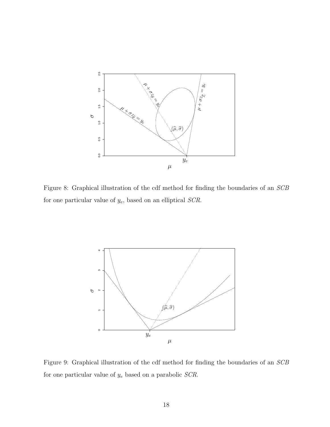

Figure 8: Graphical illustration of the cdf method for finding the boundaries of an SCB for one particular value of  $y_e$ , based on an elliptical  $SCR$ .



Figure 9: Graphical illustration of the cdf method for finding the boundaries of an SCB for one particular value of  $y_e$  based on a parabolic  $SCR$ .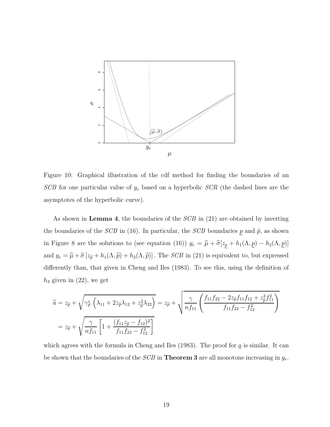

Figure 10: Graphical illustration of the cdf method for finding the boundaries of an  $SCB$  for one particular value of  $y_e$  based on a hyperbolic  $SCR$  (the dashed lines are the asymptotes of the hyperbolic curve).

As shown in **Lemma 4**, the boundaries of the *SCB* in (21) are obtained by inverting the boundaries of the *SCB* in (16). In particular, the *SCB* boundaries p and  $\tilde{p}$ , as shown in Figure 8 are the solutions to (see equation (16))  $y_e = \hat{\mu} + \hat{\sigma}[z_p + h_1(\Lambda, p) - h_2(\Lambda, p)]$ and  $y_e = \hat{\mu} + \hat{\sigma} [z_{\tilde{p}} + h_1(\Lambda, \tilde{p}) + h_2(\Lambda, \tilde{p})]$ . The *SCB* in (21) is equivalent to, but expressed differently than, that given in Cheng and Iles (1983). To see this, using the definition of  $h_3$  given in  $(22)$ , we get

$$
\widetilde{a} = z_{\widehat{p}} + \sqrt{\gamma_F^s \left(\lambda_{11} + 2z_{\widehat{p}}\lambda_{12} + z_{\widehat{p}}^2\lambda_{22}\right)} = z_{\widehat{p}} + \sqrt{\frac{\gamma}{nf_{11}} \left(\frac{f_{11}f_{22} - 2z_{\widehat{p}}f_{11}f_{12} + z_{\widehat{p}}^2 f_{11}^2}{f_{11}f_{22} - f_{12}^2}\right)}
$$
\n
$$
= z_{\widehat{p}} + \sqrt{\frac{\gamma}{nf_{11}} \left[1 + \frac{(f_{11}z_{\widehat{p}} - f_{12})^2}{f_{11}f_{22} - f_{12}^2}\right]}
$$

which agrees with the formula in Cheng and Iles (1983). The proof for  $g$  is similar. It can be shown that the boundaries of the *SCB* in **Theorem 3** are all monotone increasing in  $y_e$ .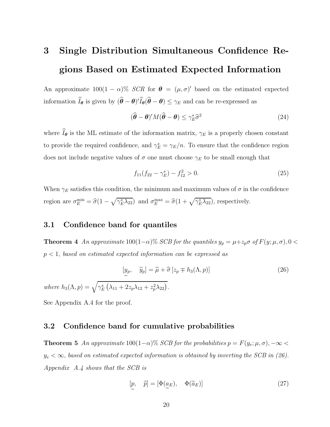# 3 Single Distribution Simultaneous Confidence Regions Based on Estimated Expected Information

An approximate  $100(1 - \alpha)$ % SCR for  $\boldsymbol{\theta} = (\mu, \sigma)'$  based on the estimated expected information  $I_{\theta}$  is given by  $(\theta - \theta)' I_{\theta}(\theta - \theta) \leq \gamma_E$  and can be re-expressed as

$$
(\hat{\boldsymbol{\theta}} - \boldsymbol{\theta})' M (\hat{\boldsymbol{\theta}} - \boldsymbol{\theta}) \le \gamma_E^s \hat{\sigma}^2 \tag{24}
$$

where  $\widehat{I}_{\theta}$  is the ML estimate of the information matrix,  $\gamma_E$  is a properly chosen constant to provide the required confidence, and  $\gamma_E^s = \gamma_E/n$ . To ensure that the confidence region does not include negative values of  $\sigma$  one must choose  $\gamma_E$  to be small enough that

$$
f_{11}(f_{22} - \gamma_E^s) - f_{12}^2 > 0. \tag{25}
$$

When  $\gamma_E$  satisfies this condition, the minimum and maximum values of  $\sigma$  in the confidence region are  $\sigma_E^{\min} = \hat{\sigma}(1 - \sqrt{\gamma_E^s \lambda_{22}})$  and  $\sigma_E^{\max} = \hat{\sigma}(1 + \sqrt{\gamma_E^s \lambda_{22}})$ , respectively.

#### 3.1 Confidence band for quantiles

**Theorem 4** An approximate  $100(1-\alpha)\%$  SCB for the quantiles  $y_p = \mu + z_p \sigma$  of  $F(y; \mu, \sigma)$ , 0 <  $p < 1$ , based on estimated expected information can be expressed as

$$
[y_p, \quad \widetilde{y}_p] = \widehat{\mu} + \widehat{\sigma} [z_p \mp h_3(\Lambda, p)]
$$
\n
$$
\widetilde{\lambda}, p) = \sqrt{\gamma_E^s (\lambda_{11} + 2z_p \lambda_{12} + z_p^2 \lambda_{22})}.
$$
\n(26)

See Appendix A.4 for the proof.

where  $h_3(\Lambda)$ 

#### 3.2 Confidence band for cumulative probabilities

**Theorem 5** An approximate  $100(1-\alpha)\%$  SCB for the probabilities  $p = F(y_e; \mu, \sigma)$ ,  $-\infty$  $y_e < \infty$ , based on estimated expected information is obtained by inverting the SCB in (26). Appendix A.4 shows that the SCB is

$$
[p, \quad \tilde{p}] = [\Phi(\underline{a}_E), \quad \Phi(\tilde{a}_E)] \tag{27}
$$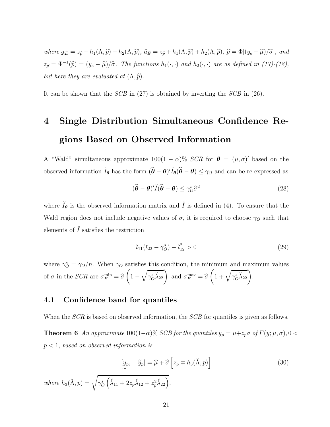where  $\underline{a}_E = z_{\widehat{p}} + h_1(\Lambda, \widehat{p}) - h_2(\Lambda, \widehat{p}), \ \widetilde{a}_E = z_{\widehat{p}} + h_1(\Lambda, \widehat{p}) + h_2(\Lambda, \widehat{p}), \ \widehat{p} = \Phi[(y_e - \widehat{\mu})/\widehat{\sigma}],$  and  $z_{\widehat{p}} = \Phi^{-1}(\widehat{p}) = (y_e - \widehat{\mu})/\widehat{\sigma}$ . The functions  $h_1(\cdot, \cdot)$  and  $h_2(\cdot, \cdot)$  are as defined in (17)-(18), but here they are evaluated at  $(\Lambda, \widehat{p})$ .

It can be shown that the SCB in (27) is obtained by inverting the SCB in (26).

# 4 Single Distribution Simultaneous Confidence Regions Based on Observed Information

A "Wald" simultaneous approximate  $100(1 - \alpha)\%$  SCR for  $\boldsymbol{\theta} = (\mu, \sigma)'$  based on the observed information  $\check{I}_{\theta}$  has the form  $(\hat{\theta} - \theta)' \check{I}_{\theta}(\hat{\theta} - \theta) \leq \gamma_O$  and can be re-expressed as

$$
(\widehat{\boldsymbol{\theta}} - \boldsymbol{\theta})' \check{I} (\widehat{\boldsymbol{\theta}} - \boldsymbol{\theta}) \le \gamma_{\mathcal{O}}^s \widehat{\sigma}^2 \tag{28}
$$

where  $\check{I}_{\theta}$  is the observed information matrix and  $\check{I}$  is defined in (4). To ensure that the Wald region does not include negative values of  $\sigma$ , it is required to choose  $\gamma_O$  such that elements of  $\check{I}$  satisfies the restriction

$$
\breve{\iota}_{11}(\breve{\iota}_{22} - \gamma_O^s) - \breve{\iota}_{12}^2 > 0 \tag{29}
$$

where  $\gamma_O^s = \gamma_O/n$ . When  $\gamma_O$  satisfies this condition, the minimum and maximum values of  $\sigma$  in the *SCR* are  $\sigma_E^{\min} = \hat{\sigma}$  $\sqrt{ }$  $1 \sqrt{ }$  $\overline{\gamma_O^s \check{\lambda}_{22}}$  and  $\sigma_E^{\max} = \hat{\sigma}$  $\left(1+\sqrt{\gamma_{O}^{s}\check{\lambda}_{22}}\right).$ 

#### 4.1 Confidence band for quantiles

When the *SCR* is based on observed information, the *SCB* for quantiles is given as follows.

**Theorem 6** An approximate  $100(1-\alpha)$ % SCB for the quantiles  $y_p = \mu + z_p \sigma$  of  $F(y; \mu, \sigma)$ , 0 <  $p < 1$ , based on observed information is

$$
[y_p, \quad \tilde{y}_p] = \hat{\mu} + \hat{\sigma} \left[ z_p \mp h_3(\check{\Lambda}, p) \right]
$$
\nwhere  $h_3(\check{\Lambda}, p) = \sqrt{\gamma_0^s \left( \check{\lambda}_{11} + 2z_p \check{\lambda}_{12} + z_p^2 \check{\lambda}_{22} \right)}$ .

\n(30)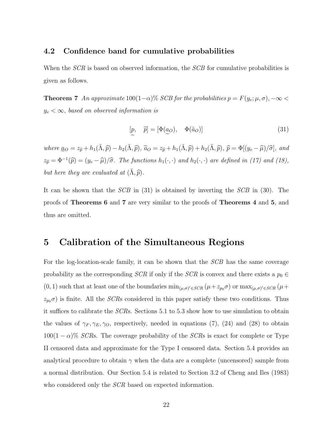#### 4.2 Confidence band for cumulative probabilities

When the *SCR* is based on observed information, the *SCB* for cumulative probabilities is given as follows.

**Theorem 7** An approximate  $100(1-\alpha)$ % SCB for the probabilities  $p = F(y_e; \mu, \sigma)$ ,  $-\infty$  $y_e < \infty$ , based on observed information is

$$
[p, \quad \tilde{p}] = [\Phi(\underline{a}_O), \quad \Phi(\tilde{a}_O)] \tag{31}
$$

where  $a_{\mathcal{O}} = z_{\hat{p}} + h_1(\check{\Lambda}, \hat{p}) - h_2(\check{\Lambda}, \hat{p}), \tilde{a}_{\mathcal{O}} = z_{\hat{p}} + h_1(\check{\Lambda}, \hat{p}) + h_2(\check{\Lambda}, \hat{p}), \tilde{p} = \Phi[(y_e - \hat{\mu})/\hat{\sigma}],$  and  $z_{\widehat{p}} = \Phi^{-1}(\widehat{p}) = (y_e - \widehat{\mu})/\widehat{\sigma}$ . The functions  $h_1(\cdot, \cdot)$  and  $h_2(\cdot, \cdot)$  are defined in (17) and (18), but here they are evaluated at  $(\tilde{\Lambda}, \hat{p})$ .

It can be shown that the SCB in (31) is obtained by inverting the SCB in (30). The proofs of Theorems 6 and 7 are very similar to the proofs of Theorems 4 and 5, and thus are omitted.

### 5 Calibration of the Simultaneous Regions

For the log-location-scale family, it can be shown that the SCB has the same coverage probability as the corresponding  $SCR$  if only if the  $SCR$  is convex and there exists a  $p_0 \in$  $(0, 1)$  such that at least one of the boundaries  $\min_{(\mu,\sigma)' \in SCR} (\mu + z_{p_0}\sigma)$  or  $\max_{(\mu,\sigma)' \in SCR} (\mu + z_{p_0}\sigma)$  $z_{p0}\sigma$ ) is finite. All the *SCRs* considered in this paper satisfy these two conditions. Thus it suffices to calibrate the SCRs. Sections 5.1 to 5.3 show how to use simulation to obtain the values of  $\gamma_F, \gamma_E, \gamma_O$ , respectively, needed in equations (7), (24) and (28) to obtain  $100(1-\alpha)\%$  SCRs. The coverage probability of the SCRs is exact for complete or Type II censored data and approximate for the Type I censored data. Section 5.4 provides an analytical procedure to obtain  $\gamma$  when the data are a complete (uncensored) sample from a normal distribution. Our Section 5.4 is related to Section 3.2 of Cheng and Iles (1983) who considered only the *SCR* based on expected information.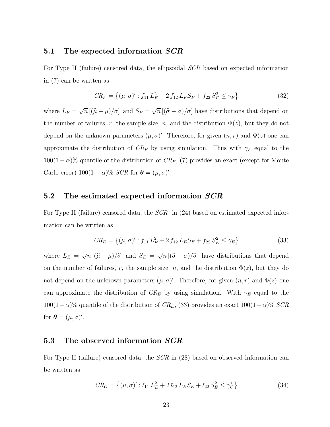#### 5.1 The expected information SCR

For Type II (failure) censored data, the ellipsoidal SCR based on expected information in (7) can be written as

$$
CR_F = \left\{ (\mu, \sigma)' : f_{11} L_F^2 + 2 f_{12} L_F S_F + f_{22} S_F^2 \le \gamma_F \right\}
$$
\n(32)

where  $L_F = \sqrt{n} [(\hat{\mu} - \mu)/\sigma]$  and  $S_F = \sqrt{n} [(\hat{\sigma} - \sigma)/\sigma]$  have distributions that depend on the number of failures, r, the sample size, n, and the distribution  $\Phi(z)$ , but they do not depend on the unknown parameters  $(\mu, \sigma)'$ . Therefore, for given  $(n, r)$  and  $\Phi(z)$  one can approximate the distribution of  $CR_F$  by using simulation. Thus with  $\gamma_F$  equal to the  $100(1-\alpha)\%$  quantile of the distribution of  $CR_F$ , (7) provides an exact (except for Monte Carlo error)  $100(1-\alpha)\%$  *SCR* for  $\boldsymbol{\theta} = (\mu, \sigma)'$ .

#### 5.2 The estimated expected information SCR

For Type II (failure) censored data, the  $SCR$  in (24) based on estimated expected information can be written as

$$
CR_E = \left\{ (\mu, \sigma)' : f_{11} L_E^2 + 2 f_{12} L_E S_E + f_{22} S_E^2 \le \gamma_E \right\}
$$
\n(33)

where  $L_E = \sqrt{n} [(\hat{\mu} - \mu)/\hat{\sigma}]$  and  $S_E = \sqrt{n} [(\hat{\sigma} - \sigma)/\hat{\sigma}]$  have distributions that depend on the number of failures, r, the sample size, n, and the distribution  $\Phi(z)$ , but they do not depend on the unknown parameters  $(\mu, \sigma)'$ . Therefore, for given  $(n, r)$  and  $\Phi(z)$  one can approximate the distribution of  $CR_E$  by using simulation. With  $\gamma_E$  equal to the  $100(1-\alpha)\%$  quantile of the distribution of  $CR_E$ , (33) provides an exact  $100(1-\alpha)\%$  SCR for  $\boldsymbol{\theta} = (\mu, \sigma)'$ .

#### 5.3 The observed information SCR

For Type II (failure) censored data, the SCR in (28) based on observed information can be written as

$$
CR_O = \left\{ (\mu, \sigma)' : \check{\iota}_{11} L_E^2 + 2 \check{\iota}_{12} L_E S_E + \check{\iota}_{22} S_E^2 \le \gamma_O^s \right\}
$$
 (34)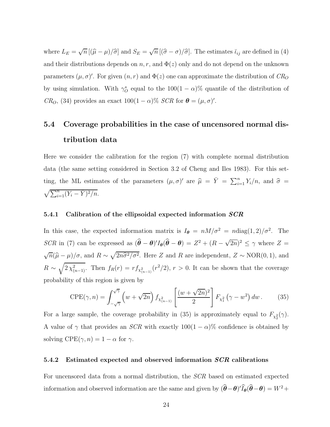where  $L_E = \sqrt{n} [(\hat{\mu} - \mu)/\hat{\sigma}]$  and  $S_E = \sqrt{n} [(\hat{\sigma} - \sigma)/\hat{\sigma}]$ . The estimates  $\tilde{L}_{ij}$  are defined in (4) and their distributions depends on  $n, r$ , and  $\Phi(z)$  only and do not depend on the unknown parameters  $(\mu, \sigma)'$ . For given  $(n, r)$  and  $\Phi(z)$  one can approximate the distribution of  $CR_O$ by using simulation. With  $\gamma_O^s$  equal to the 100(1 –  $\alpha$ )% quantile of the distribution of  $CR_O$ , (34) provides an exact  $100(1 - \alpha)\%$  SCR for  $\boldsymbol{\theta} = (\mu, \sigma)'$ .

## 5.4 Coverage probabilities in the case of uncensored normal distribution data

Here we consider the calibration for the region (7) with complete normal distribution data (the same setting considered in Section 3.2 of Cheng and Iles 1983). For this setting, the ML estimates of the parameters  $(\mu, \sigma)'$  are  $\hat{\mu} = \overline{Y} = \sum_{i=1}^{n} Y_i/n$ , and  $\hat{\sigma} =$  $\sqrt{\sum_{i=1}^{n} (Y_i - \bar{Y})^2/n}.$ 

#### 5.4.1 Calibration of the ellipsoidal expected information  $SCR$

In this case, the expected information matrix is  $I_{\theta} = nM/\sigma^2 = n \text{diag}(1, 2)/\sigma^2$ . The SCR in (7) can be expressed as  $(\hat{\theta} - \theta)'I_{\theta}(\hat{\theta} - \theta) = Z^2 + (R - \sqrt{2n})^2 \le \gamma$  where  $Z =$  $\sqrt{n}(\hat{\mu} - \mu)/\sigma$ , and  $R \sim \sqrt{2n\hat{\sigma}^2/\sigma^2}$ . Here Z and R are independent,  $Z \sim \text{NOR}(0, 1)$ , and  $R \sim \sqrt{2 \chi^2_{(n-1)}}$ . Then  $f_R(r) = r f_{\chi^2_{(n-1)}}(r^2/2)$ ,  $r > 0$ . It can be shown that the coverage probability of this region is given by

$$
CPE(\gamma, n) = \int_{-\sqrt{\gamma}}^{\sqrt{\gamma}} \left( w + \sqrt{2n} \right) f_{\chi^2_{(n-1)}} \left[ \frac{(w + \sqrt{2n})^2}{2} \right] F_{\chi^2_1} \left( \gamma - w^2 \right) dw \,. \tag{35}
$$

For a large sample, the coverage probability in (35) is approximately equal to  $F_{\chi^2_2}(\gamma)$ . A value of  $\gamma$  that provides an *SCR* with exactly  $100(1 - \alpha)\%$  confidence is obtained by solving  $\text{CPE}(\gamma, n) = 1 - \alpha$  for  $\gamma$ .

#### 5.4.2 Estimated expected and observed information SCR calibrations

For uncensored data from a normal distribution, the SCR based on estimated expected information and observed information are the same and given by  $(\hat{\theta} - \theta)' I_{\theta}(\hat{\theta} - \theta) = W^2 +$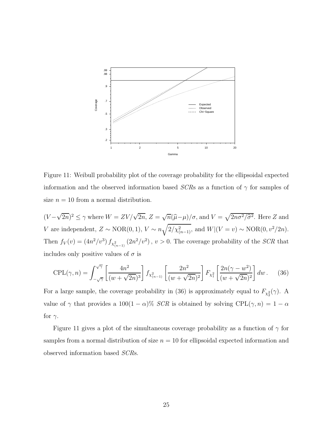

Figure 11: Weibull probability plot of the coverage probability for the ellipsoidal expected information and the observed information based  $SCRs$  as a function of  $\gamma$  for samples of size  $n = 10$  from a normal distribution.

 $(V - \sqrt{2n})^2 \le \gamma$  where  $W = ZV/\sqrt{2n}$ ,  $Z = \sqrt{n}(\hat{\mu} - \mu)/\sigma$ , and  $V = \sqrt{2n\sigma^2/\hat{\sigma}^2}$ . Here Z and V are independent,  $Z \sim \text{NOR}(0, 1)$ ,  $V \sim n \sqrt{2/\chi^2_{(n-1)}}$ , and  $W|(V = v) \sim \text{NOR}(0, v^2/2n)$ . Then  $f_V(v) = (4n^2/v^3) f_{\chi^2_{(n-1)}}(2n^2/v^2)$ ,  $v > 0$ . The coverage probability of the *SCR* that includes only positive values of  $\sigma$  is

$$
CPL(\gamma, n) = \int_{-\sqrt{\gamma}}^{\sqrt{\gamma}} \left[ \frac{4n^2}{(w + \sqrt{2n})^3} \right] f_{\chi^2_{(n-1)}} \left[ \frac{2n^2}{(w + \sqrt{2n})^2} \right] F_{\chi^2_1} \left[ \frac{2n(\gamma - w^2)}{(w + \sqrt{2n})^2} \right] dw. \tag{36}
$$

For a large sample, the coverage probability in (36) is approximately equal to  $F_{\chi^2_2}(\gamma)$ . A value of  $\gamma$  that provides a 100(1 –  $\alpha$ )% SCR is obtained by solving CPL( $\gamma$ ,  $n$ ) = 1 –  $\alpha$ for  $\gamma$ .

Figure 11 gives a plot of the simultaneous coverage probability as a function of  $\gamma$  for samples from a normal distribution of size  $n = 10$  for ellipsoidal expected information and observed information based SCRs.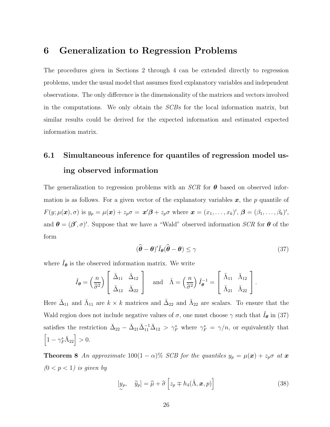### 6 Generalization to Regression Problems

The procedures given in Sections 2 through 4 can be extended directly to regression problems, under the usual model that assumes fixed explanatory variables and independent observations. The only difference is the dimensionality of the matrices and vectors involved in the computations. We only obtain the SCBs for the local information matrix, but similar results could be derived for the expected information and estimated expected information matrix.

## 6.1 Simultaneous inference for quantiles of regression model using observed information

The generalization to regression problems with an  $SCR$  for  $\theta$  based on observed information is as follows. For a given vector of the explanatory variables  $x$ , the p quantile of  $F(y; \mu(\boldsymbol{x}), \sigma)$  is  $y_p = \mu(\boldsymbol{x}) + z_p \sigma = \boldsymbol{x}' \boldsymbol{\beta} + z_p \sigma$  where  $\boldsymbol{x} = (x_1, \dots, x_k)'$ ,  $\boldsymbol{\beta} = (\beta_1, \dots, \beta_k)'$ , and  $\theta = (\beta', \sigma)'$ . Suppose that we have a "Wald" observed information SCR for  $\theta$  of the form

$$
(\widehat{\boldsymbol{\theta}} - \boldsymbol{\theta})' \breve{I}_{\boldsymbol{\theta}} (\widehat{\boldsymbol{\theta}} - \boldsymbol{\theta}) \le \gamma \tag{37}
$$

where  $I_{\theta}$  is the observed information matrix. We write

$$
\check{I}_{\theta} = \left(\frac{n}{\hat{\sigma}^2}\right) \left[\begin{array}{cc} \check{\Delta}_{11} & \check{\Delta}_{12} \\ \check{\Delta}_{12} & \check{\Delta}_{22} \end{array}\right] \quad \text{and} \quad \check{\Lambda} = \left(\frac{n}{\hat{\sigma}^2}\right) \check{I}_{\theta}^{-1} = \left[\begin{array}{cc} \check{\Lambda}_{11} & \check{\Lambda}_{12} \\ \check{\Lambda}_{21} & \check{\Lambda}_{22} \end{array}\right].
$$

Here  $\check{\Delta}_{11}$  and  $\check{\Lambda}_{11}$  are  $k \times k$  matrices and  $\check{\Delta}_{22}$  and  $\check{\Lambda}_{22}$  are scalars. To ensure that the Wald region does not include negative values of  $\sigma$ , one must choose  $\gamma$  such that  $\tilde{I}_{\theta}$  in (37) satisfies the restriction  $\Delta_{22} - \Delta_{21}\Delta_{11}^{-1}\Delta_{12} > \gamma_F^s$  where  $\gamma_F^s = \gamma/n$ , or equivalently that  $\left[1-\gamma_F^s\breve{\Lambda}_{22}\right]>0.$ 

**Theorem 8** An approximate 100(1 –  $\alpha$ )% SCB for the quantiles  $y_p = \mu(\mathbf{x}) + z_p \sigma$  at  $\mathbf{x}$  $(0 < p < 1)$  is given by

$$
[y_p, \quad \widetilde{y}_p] = \widehat{\mu} + \widehat{\sigma} \left[ z_p \mp h_4(\breve{\Lambda}, \mathbf{x}, p) \right]
$$
 (38)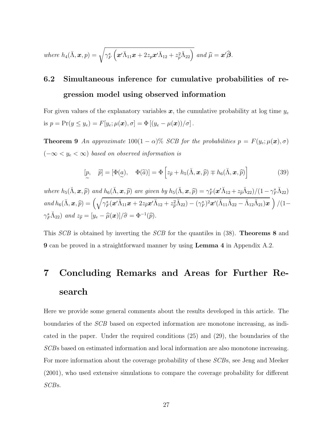where 
$$
h_4(\tilde{\Lambda}, \boldsymbol{x}, p) = \sqrt{\gamma_F^s \left( \boldsymbol{x}' \tilde{\Lambda}_{11} \boldsymbol{x} + 2 z_p \boldsymbol{x}' \tilde{\Lambda}_{12} + z_p^2 \tilde{\Lambda}_{22} \right)}
$$
 and  $\hat{\mu} = \boldsymbol{x}' \hat{\boldsymbol{\beta}}$ .

## 6.2 Simultaneous inference for cumulative probabilities of regression model using observed information

For given values of the explanatory variables  $x$ , the cumulative probability at log time  $y_e$ is  $p = Pr(y \le y_e) = F[y_e; \mu(\boldsymbol{x}), \sigma] = \Phi[(y_e - \mu(\boldsymbol{x}))/\sigma]$ .

**Theorem 9** An approximate  $100(1 - \alpha)\%$  SCB for the probabilities  $p = F(y_e; \mu(\boldsymbol{x}), \sigma)$  $(-\infty < y_e < \infty)$  based on observed information is

$$
[p, \quad \tilde{p}] = [\Phi(\underline{a}), \quad \Phi(\tilde{a})] = \Phi \left[ z_{\tilde{p}} + h_5(\tilde{\Lambda}, \mathbf{x}, \tilde{p}) \mp h_6(\tilde{\Lambda}, \mathbf{x}, \tilde{p}) \right]
$$
(39)

where  $h_5(\check{\Lambda}, \mathbf{x}, \hat{p})$  and  $h_6(\check{\Lambda}, \mathbf{x}, \hat{p})$  are given by  $h_5(\check{\Lambda}, \mathbf{x}, \hat{p}) = \gamma_F^s(\mathbf{x}'\check{\Lambda}_{12} + z_{\hat{p}}\check{\Lambda}_{22})/(1-\gamma_F^s\check{\Lambda}_{22})$  $and\ h_6(\breve{\Lambda},\bm{x},\widehat{p})=\left(\sqrt{\gamma_F^s(\bm{x}'\breve{\Lambda}_{11}\bm{x}+2z_{\widehat{p}}\bm{x}'\breve{\Lambda}_{12}+z_{\widehat{p}}^2\breve{\Lambda}_{22})-(\gamma_F^s)^2\bm{x}'(\breve{\Lambda}_{11}\breve{\Lambda}_{22}-\breve{\Lambda}_{12}\breve{\Lambda}_{21})\bm{x}}\,\right)/(1-\frac{1}{2}\left(\frac{1}{\sqrt{2}}\left(\frac{\mathbf{1}}{\mathbf{1}}\right)^2\mathbf{1}_{\mathbf{1}}\mathbf{1}_{\mathbf{2}}+\frac{1}{\sqrt{2}}\left(\frac$  $\gamma_F^s \check{\Lambda}_{22}$  and  $z_{\widehat{p}} = [y_e - \widehat{\mu}(\boldsymbol{x})]/\widehat{\sigma} = \Phi^{-1}(\widehat{p}).$ 

This *SCB* is obtained by inverting the *SCB* for the quantiles in (38). **Theorems 8** and 9 can be proved in a straightforward manner by using Lemma 4 in Appendix A.2.

# 7 Concluding Remarks and Areas for Further Research

Here we provide some general comments about the results developed in this article. The boundaries of the SCB based on expected information are monotone increasing, as indicated in the paper. Under the required conditions (25) and (29), the boundaries of the SCBs based on estimated information and local information are also monotone increasing. For more information about the coverage probability of these SCBs, see Jeng and Meeker (2001), who used extensive simulations to compare the coverage probability for different SCBs.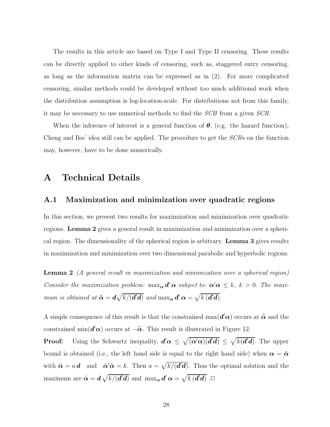The results in this article are based on Type I and Type II censoring. These results can be directly applied to other kinds of censoring, such as, staggered entry censoring, as long as the information matrix can be expressed as in (2). For more complicated censoring, similar methods could be developed without too much additional work when the distribution assumption is log-location-scale. For distributions not from this family, it may be necessary to use numerical methods to find the SCB from a given SCR.

When the inference of interest is a general function of  $\theta$ , (e.g. the hazard function), Cheng and Iles' idea still can be applied. The procedure to get the SCBs on the function may, however, have to be done numerically.

### A Technical Details

#### A.1 Maximization and minimization over quadratic regions

In this section, we present two results for maximization and minimization over quadratic regions. Lemma 2 gives a general result in maximization and minimization over a spherical region. The dimensionality of the spherical region is arbitrary. Lemma 3 gives results in maximization and minimization over two dimensional parabolic and hyperbolic regions.

Lemma 2 (A general result in maximization and minimization over a spherical region) Consider the maximization problem:  $\max_{\alpha} d' \alpha$  subject to:  $\alpha' \alpha \leq k, k > 0$ . The maximum is obtained at  $\widetilde{\alpha} = d\sqrt{k/(d'd)}$  and  $\max_{\alpha} d' \alpha = \sqrt{k(d'd)}$ .

A simple consequence of this result is that the constrained  $\max(\mathbf{d}'\boldsymbol{\alpha})$  occurs at  $\widetilde{\boldsymbol{\alpha}}$  and the constrained  $\min(\mathbf{d}'\boldsymbol{\alpha})$  occurs at  $-\widetilde{\boldsymbol{\alpha}}$ . This result is illustrated in Figure 12.

**Proof:** Using the Schwartz inequality,  $d' \alpha \leq \sqrt{(\alpha' \alpha)(d'd)} \leq \sqrt{k(d'd)}$ . The upper bound is obtained (i.e., the left hand side is equal to the right hand side) when  $\alpha = \tilde{\alpha}$ with  $\tilde{\boldsymbol{\alpha}} = a \, \boldsymbol{d}$  and  $\tilde{\boldsymbol{\alpha}}' \tilde{\boldsymbol{\alpha}} = k$ . Then  $a = \sqrt{k/(\boldsymbol{d'}\boldsymbol{d})}$ . Thus the optimal solution and the maximum are  $\tilde{\boldsymbol{\alpha}} = \boldsymbol{d} \sqrt{k/(d' \boldsymbol{d})}$  and  $\max_{\boldsymbol{\alpha}} \boldsymbol{d'} \, \boldsymbol{\alpha} = \sqrt{k(d' \boldsymbol{d})}$  .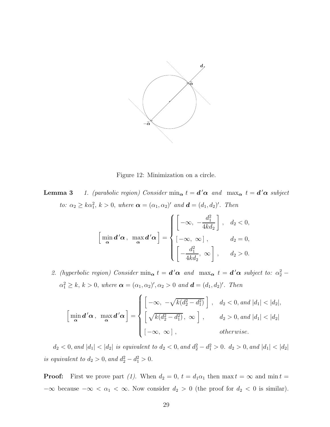

Figure 12: Minimization on a circle.

**Lemma 3** 1. (parabolic region) Consider  $\min_{\alpha} t = d' \alpha$  and  $\max_{\alpha} t = d' \alpha$  subject to:  $\alpha_2 \geq k\alpha_1^2$ ,  $k > 0$ , where  $\boldsymbol{\alpha} = (\alpha_1, \alpha_2)'$  and  $\boldsymbol{d} = (d_1, d_2)'$ . Then

$$
\[\min_{\alpha} \mathbf{d}' \alpha, \ \max_{\alpha} \mathbf{d}' \alpha\] = \begin{cases} \left[ -\infty, -\frac{d_1^2}{4k d_2} \right], & d_2 < 0, \\ \left[ -\infty, \infty \right], & d_2 = 0, \\ \left[ -\frac{d_1^2}{4k d_2}, \infty \right], & d_2 > 0.\end{cases}
$$

2. (hyperbolic region) Consider  $\min_{\alpha} t = d' \alpha$  and  $\max_{\alpha} t = d' \alpha$  subject to:  $\alpha_2^2$  –  $\alpha_1^2 \geq k, k > 0$ , where  $\boldsymbol{\alpha} = (\alpha_1, \alpha_2)'$ ,  $\alpha_2 > 0$  and  $\boldsymbol{d} = (d_1, d_2)'$ . Then

$$
\[\min_{\alpha} \mathbf{d}' \alpha, \ \max_{\alpha} \mathbf{d}' \alpha\] = \begin{cases} \left[ -\infty, -\sqrt{k(d_2^2 - d_1^2)} \right], & d_2 < 0, \text{ and } |d_1| < |d_2|, \\ \left[ \sqrt{k(d_2^2 - d_1^2)}, \ \infty \right], & d_2 > 0, \text{ and } |d_1| < |d_2| \\ \left[ -\infty, \ \infty \right], & \text{otherwise.} \end{cases}\]
$$

 $d_2 < 0$ , and  $|d_1| < |d_2|$  is equivalent to  $d_2 < 0$ , and  $d_2^2 - d_1^2 > 0$ .  $d_2 > 0$ , and  $|d_1| < |d_2|$ is equivalent to  $d_2 > 0$ , and  $d_2^2 - d_1^2 > 0$ .

**Proof:** First we prove part (1). When  $d_2 = 0$ ,  $t = d_1 \alpha_1$  then max  $t = \infty$  and min  $t =$  $-\infty$  because  $-\infty < \alpha_1 < \infty$ . Now consider  $d_2 > 0$  (the proof for  $d_2 < 0$  is similar).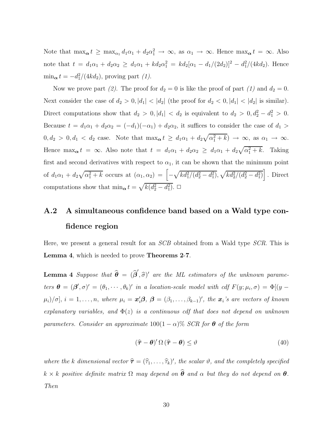Note that  $\max_{\alpha} t \ge \max_{\alpha_1} d_1 \alpha_1 + d_2 \alpha_1^2 \to \infty$ , as  $\alpha_1 \to \infty$ . Hence  $\max_{\alpha} t = \infty$ . Also note that  $t = d_1\alpha_1 + d_2\alpha_2 \geq d_1\alpha_1 + kd_2\alpha_1^2 = kd_2[\alpha_1 - d_1/(2d_2)]^2 - d_1^2/(4kd_2)$ . Hence  $\min_{\mathbf{\alpha}} t = -d_1^2/(4kd_2)$ , proving part (1).

Now we prove part (2). The proof for  $d_2 = 0$  is like the proof of part (1) and  $d_2 = 0$ . Next consider the case of  $d_2 > 0$ ,  $|d_1| < |d_2|$  (the proof for  $d_2 < 0$ ,  $|d_1| < |d_2|$  is similar). Direct computations show that  $d_2 > 0, |d_1| < d_2$  is equivalent to  $d_2 > 0, d_2^2 - d_1^2 > 0$ . Because  $t = d_1\alpha_1 + d_2\alpha_2 = (-d_1)(-\alpha_1) + d_2\alpha_2$ , it suffices to consider the case of  $d_1 >$  $0, d_2 > 0, d_1 < d_2$  case. Note that  $\max_{\alpha} t \geq d_1 \alpha_1 + d_2 \sqrt{\alpha_1^2 + k} \rightarrow \infty$ , as  $\alpha_1 \rightarrow \infty$ . Hence  $\max_{\alpha} t = \infty$ . Also note that  $t = d_1\alpha_1 + d_2\alpha_2 \geq d_1\alpha_1 + d_2\sqrt{\alpha_1^2 + k}$ . Taking first and second derivatives with respect to  $\alpha_1$ , it can be shown that the minimum point of  $d_1\alpha_1 + d_2\sqrt{\alpha_1^2 + k}$  occurs at  $(\alpha_1, \alpha_2) = \left[ -\sqrt{k d_1^2/(d_2^2 - d_1^2)}, \sqrt{k d_2^2/(d_2^2 - d_1^2)} \right]$ . Direct computations show that  $\min_{\mathbf{\alpha}} t = \sqrt{k(d_2^2 - d_1^2)}$ .  $\Box$ 

## A.2 A simultaneous confidence band based on a Wald type confidence region

Here, we present a general result for an SCB obtained from a Wald type SCR. This is Lemma 4, which is needed to prove Theorems 2-7.

**Lemma 4** Suppose that  $\hat{\theta} = (\hat{\beta}', \hat{\sigma})'$  are the ML estimators of the unknown parameters  $\boldsymbol{\theta} = (\boldsymbol{\beta}', \sigma)' = (\theta_1, \cdots, \theta_k)'$  in a location-scale model with cdf  $F(y; \mu_i, \sigma) = \Phi[(y - \sigma)]$  $\mu_i)/\sigma], i = 1,\ldots,n,$  where  $\mu_i = \mathbf{x}'_i\mathbf{\beta}, \ \mathbf{\beta} = (\beta_1,\ldots,\beta_{k-1})'$ , the  $\mathbf{x}_i$ 's are vectors of known explanatory variables, and  $\Phi(z)$  is a continuous cdf that does not depend on unknown parameters. Consider an approximate  $100(1 - \alpha)\%$  SCR for  $\theta$  of the form

$$
(\hat{\boldsymbol{\tau}} - \boldsymbol{\theta})' \, \Omega \, (\hat{\boldsymbol{\tau}} - \boldsymbol{\theta}) \leq \vartheta \tag{40}
$$

where the k dimensional vector  $\hat{\tau} = (\hat{\tau}_1, \dots, \hat{\tau}_k)'$ , the scalar  $\vartheta$ , and the completely specified  $k \times k$  positive definite matrix  $\Omega$  may depend on  $\widehat{\boldsymbol{\theta}}$  and  $\alpha$  but they do not depend on  $\boldsymbol{\theta}$ . Then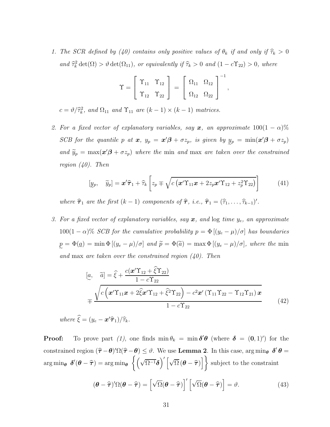1. The SCR defined by (40) contains only positive values of  $\theta_k$  if and only if  $\hat{\tau}_k > 0$ and  $\widehat{\tau}_k^2 \det(\Omega) > \vartheta \det(\Omega_{11}),$  or equivalently if  $\widehat{\tau}_k > 0$  and  $(1 - c\Upsilon_{22}) > 0$ , where

$$
\Upsilon = \left[ \begin{array}{cc} \Upsilon_{11} & \Upsilon_{12} \\[1mm] \Upsilon_{12} & \Upsilon_{22} \end{array} \right] \ = \ \left[ \begin{array}{cc} \Omega_{11} & \Omega_{12} \\[1mm] \Omega_{12} & \Omega_{22} \end{array} \right]^{-1},
$$

 $c = \vartheta / \widehat{\tau}_k^2$ , and  $\Omega_{11}$  and  $\Upsilon_{11}$  are  $(k-1) \times (k-1)$  matrices.

2. For a fixed vector of explanatory variables, say  $x$ , an approximate  $100(1-\alpha)\%$ SCB for the quantile p at  $x$ ,  $y_p = x'\beta + \sigma z_p$ , is given by  $y_p = \min(x'\beta + \sigma z_p)$ and  $\widetilde{y}_p = \max(x'\beta + \sigma z_p)$  where the min and max are taken over the constrained region (40). Then

$$
[y_p, \quad \widetilde{y}_p] = \mathbf{x}' \widehat{\boldsymbol{\tau}}_1 + \widehat{\tau}_k \left[ z_p \mp \sqrt{c \left( \mathbf{x}' \widehat{\mathbf{T}}_{11} \mathbf{x} + 2 z_p \mathbf{x}' \widehat{\mathbf{T}}_{12} + z_p^2 \widehat{\mathbf{T}}_{22} \right)} \right]
$$
(41)

where  $\hat{\tau}_1$  are the first  $(k - 1)$  components of  $\hat{\tau}$ , i.e.,  $\hat{\tau}_1 = (\hat{\tau}_1, \dots, \hat{\tau}_{k-1})'$ .

3. For a fixed vector of explanatory variables, say  $x$ , and  $log$  time  $y_e$ , an approximate 100(1 −  $\alpha$ )% SCB for the cumulative probability  $p = \Phi\left[\left(y_e - \mu\right)/\sigma\right]$  has boundaries  $p = \Phi(\underline{a}) = \min \Phi [(y_e - \mu)/\sigma]$  and  $\widetilde{p} = \Phi(\widetilde{a}) = \max \Phi [(y_e - \mu)/\sigma]$ , where the min and max are taken over the constrained region  $(40)$ . Then

$$
[a, \tilde{a}] = \hat{\xi} + \frac{c(\boldsymbol{x}' \Upsilon_{12} + \hat{\xi} \Upsilon_{22})}{1 - c \Upsilon_{22}}
$$
  

$$
= \frac{\sqrt{c(\boldsymbol{x}' \Upsilon_{11} \boldsymbol{x} + 2 \hat{\xi} \boldsymbol{x}' \Upsilon_{12} + \hat{\xi}^2 \Upsilon_{22}) - c^2 \boldsymbol{x}' (\Upsilon_{11} \Upsilon_{22} - \Upsilon_{12} \Upsilon_{21}) \boldsymbol{x}}{1 - c \Upsilon_{22}}
$$
(42)

where  $\xi = (y_e - \mathbf{x}'\hat{\boldsymbol{\tau}}_1)/\hat{\tau}_k$ .

**Proof:** To prove part (1), one finds  $\min \theta_k = \min \delta' \theta$  (where  $\delta = (0, 1)$ ) for the constrained region  $(\hat{\tau} - \theta)' \Omega(\hat{\tau} - \theta) \leq \vartheta$ . We use **Lemma 2**. In this case, arg min<sub> $\theta$ </sub> δ'  $\theta =$  $\arg\min_{\theta} \delta'(\theta - \widehat{\tau}) = \arg\min_{\theta}$  $\left\{ \left( \sqrt{\Omega^{-1}} \boldsymbol\delta \right)' \left[ \sqrt{\Omega} \left( \boldsymbol\theta - \widehat{\boldsymbol \tau} \right) \right. \right.$ | subject to the constraint

$$
(\boldsymbol{\theta} - \widehat{\boldsymbol{\tau}})' \Omega (\boldsymbol{\theta} - \widehat{\boldsymbol{\tau}}) = \left[ \sqrt{\Omega} (\boldsymbol{\theta} - \widehat{\boldsymbol{\tau}}) \right]' \left[ \sqrt{\Omega} (\boldsymbol{\theta} - \widehat{\boldsymbol{\tau}}) \right] = \vartheta.
$$
 (43)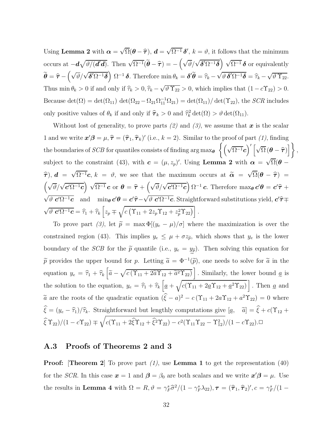Using Lemma 2 with  $\alpha = \sqrt{\Omega}(\theta - \hat{\tau})$ ,  $d = \sqrt{\Omega^{-1}}\delta'$ ,  $k = \vartheta$ , it follows that the minimum occurs at  $-\boldsymbol{d}\sqrt{\vartheta/(\boldsymbol{d}'\boldsymbol{d})}$ . Then  $\sqrt{\Omega^{-1}}(\widetilde{\boldsymbol{\theta}} - \widehat{\boldsymbol{\tau}}) = -(\sqrt{\vartheta}/\sqrt{\boldsymbol{\delta}'\Omega^{-1}\boldsymbol{\delta}}) \sqrt{\Omega^{-1}} \boldsymbol{\delta}$  or equivalently  $\widetilde{\boldsymbol{\theta}} = \widehat{\boldsymbol{\tau}} - \left(\sqrt{\vartheta}/\sqrt{\boldsymbol{\delta}'\Omega^{-1}\boldsymbol{\delta}}\right)\,\Omega^{-1}\,\boldsymbol{\delta}.$  Therefore  $\min \theta_k = \boldsymbol{\delta}'\widetilde{\boldsymbol{\theta}} = \widehat{\tau}_k - \sqrt{\vartheta \,\boldsymbol{\delta}'\Omega^{-1}\boldsymbol{\delta}} = \widehat{\tau}_k - \sqrt{\vartheta\,\Upsilon_{22}}.$ Thus min  $\theta_k > 0$  if and only if  $\hat{\tau}_k > 0$ ,  $\hat{\tau}_k - \sqrt{\vartheta \Upsilon_{22}} > 0$ , which implies that  $(1 - c\Upsilon_{22}) > 0$ . Because  $\det(\Omega) = \det(\Omega_{11}) \det(\Omega_{22} - \Omega_{21}\Omega_{11}^{-1}\Omega_{21}) = \det(\Omega_{11})/\det(\Upsilon_{22})$ , the *SCR* includes only positive values of  $\theta_k$  if and only if  $\hat{\tau}_k > 0$  and  $\hat{\tau}_k^2 \det(\Omega) > \vartheta \det(\Omega_{11})$ .

Without lost of generality, to prove parts  $(2)$  and  $(3)$ , we assume that x is the scalar 1 and we write  $\mathbf{x}'\boldsymbol{\beta} = \mu, \hat{\boldsymbol{\tau}} = (\hat{\boldsymbol{\tau}}_1, \hat{\boldsymbol{\tau}}_k)'$  (i.e.,  $k = 2$ ). Similar to the proof of part (1), finding the boundaries of  $SCB$  for quantiles consists of finding  $\argmax_{\bm{\theta}}\; \left\{\left(\sqrt{\Omega^{-1}}\bm{c}\right)'\left[\sqrt{\Omega}\left(\bm{\theta}-\widehat{\bm{\tau}}\right)\right. \right.$  $\left[\right],$ subject to the constraint (43), with  $\boldsymbol{c} = (\mu, z_p)'$ . Using **Lemma 2** with  $\boldsymbol{\alpha} = \sqrt{\Omega}(\boldsymbol{\theta} - \boldsymbol{\beta})$  $\hat{\tau}$ ),  $d = \sqrt{\Omega^{-1}}c$ ,  $k = \vartheta$ , we see that the maximum occurs at  $\tilde{\alpha} = \sqrt{\Omega}(\theta - \hat{\tau})$  $(\sqrt{\vartheta}/\sqrt{\mathbf{c}'\Omega^{-1}\mathbf{c}}) \sqrt{\Omega^{-1}}\mathbf{c}$  or  $\boldsymbol{\theta} = \hat{\boldsymbol{\tau}} + (\sqrt{\vartheta}/\sqrt{\mathbf{c}'\Omega^{-1}\mathbf{c}}) \Omega^{-1}\mathbf{c}$ . Therefore  $\max_{\boldsymbol{\theta}} \mathbf{c}'\boldsymbol{\theta} = \mathbf{c}'\hat{\boldsymbol{\tau}} +$  $\sqrt{\vartheta \ c'\Omega^{-1}\mathbf{c}}$  and  $\min_{\theta} c'\theta = c'\hat{\tau}-\sqrt{\vartheta \ c'\Omega^{-1}\mathbf{c}}$ . Straightforward substitutions yield,  $c'\hat{\tau} \mp \sqrt{\vartheta \ c'\Omega^{-1}\mathbf{c}}$ .  $\sqrt{\vartheta \, \mathbf{c}' \Omega^{-1} \mathbf{c}} = \hat{\tau}_1 + \hat{\tau}_k \left[ z_p \mp \sqrt{c \left( \Upsilon_{11} + 2 z_p \Upsilon_{12} + z_p^2 \Upsilon_{22} \right)} \right].$ 

To prove part (3), let  $\tilde{p} = \max \Phi[(y_e - \mu)/\sigma]$  where the maximization is over the constrained region (43). This implies  $y_e \leq \mu + \sigma z_{\tilde{p}}$ , which shows that  $y_e$  is the lower boundary of the *SCB* for the  $\tilde{p}$  quantile (i.e.,  $y_e = y_{\tilde{p}}$ ). Then solving this equation for  $\widetilde{p}$  provides the upper bound for p. Letting  $\widetilde{a} = \Phi^{-1}(\widetilde{p})$ , one needs to solve for  $\widetilde{a}$  in the equation  $y_e = \hat{\tau}_1 + \hat{\tau}_k \left[ \tilde{a} - \sqrt{c(\Upsilon_{11} + 2\tilde{a}\Upsilon_{12} + \tilde{a}^2\Upsilon_{22})} \right]$ . Similarly, the lower bound  $\underline{a}$  is the solution to the equation,  $y_e = \hat{\tau}_1 + \hat{\tau}_k \left[ \underline{a} + \sqrt{c(\Upsilon_{11} + 2\underline{a}\Upsilon_{12} + \underline{a}^2\Upsilon_{22})} \right]$ . Then  $\underline{a}$  and  $\tilde{a}$  are the roots of the quadratic equation  $(\hat{\xi} - a)^2 - c(\Upsilon_{11} + 2a\Upsilon_{12} + a^2\Upsilon_{22}) = 0$  where  $\xi = (y_e - \hat{\tau}_1)/\hat{\tau}_k$ . Straightforward but lengthly computations give  $[\alpha, \quad \tilde{a}] = \xi + c(\Upsilon_{12} + \tilde{a})$  $\widehat{\xi} \Upsilon_{22})/(1 - c \Upsilon_{22}) \mp \sqrt{c(\Upsilon_{11} + 2\widehat{\xi}\Upsilon_{12} + \widehat{\xi}^2\Upsilon_{22}) - c^2(\Upsilon_{11}\Upsilon_{22} - \Upsilon_{12}^2)}/(1$  $\sqrt{ }$  $c(\Upsilon_{11} + 2\hat{\xi}\Upsilon_{12} + \hat{\xi}^2\Upsilon_{22}) - c^2(\Upsilon_{11}\Upsilon_{22} - \Upsilon_{12}^2)/(1 - c\Upsilon_{22}). \square$ 

#### A.3 Proofs of Theorems 2 and 3

**Proof:** [Theorem 2] To prove part  $(1)$ , use Lemma 1 to get the representation  $(40)$ ] for the SCR. In this case  $x = 1$  and  $\beta = \beta_0$  are both scalars and we write  $x'\beta = \mu$ . Use the results in Lemma 4 with  $\Omega = R$ ,  $\vartheta = \gamma_F^s \hat{\sigma}^2/(1 - \gamma_F^s \lambda_{22})$ ,  $\tau = (\hat{\tau}_1, \hat{\tau}_2)'$ ,  $c = \gamma_F^s/(1 - \hat{\tau}_1 \hat{\tau}_2)$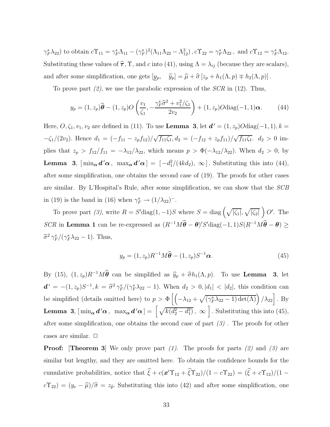$(\gamma_F^s \lambda_{22})$  to obtain  $c\Upsilon_{11} = \gamma_F^s \Lambda_{11} - (\gamma_F^s)^2 (\Lambda_{11}\Lambda_{22} - \Lambda_{12}^2)$ ,  $c\Upsilon_{22} = \gamma_F^s \Lambda_{22}$ , and  $c\Upsilon_{12} = \gamma_F^s \Lambda_{12}$ . Substituting these values of  $\hat{\tau}$ ,  $\Upsilon$ , and c into (41), using  $\Lambda = \lambda_{ij}$  (because they are scalars), and after some simplification, one gets  $[y_p, \quad \tilde{y}_p] = \hat{\mu} + \hat{\sigma} [z_p + h_1(\Lambda, p) \mp h_2(\Lambda, p)]$ .

To prove part  $(2)$ , we use the parabolic expression of the  $SCR$  in (12). Thus,

$$
y_p = (1, z_p)\widehat{\boldsymbol{\theta}} - (1, z_p)O\left(\frac{v_1}{\zeta_1}, -\frac{\gamma_p^s \widehat{\sigma}^2 + v_1^2/\zeta_1}{2v_2}\right) + (1, z_p)O\text{diag}(-1, 1)\boldsymbol{\alpha}.
$$
 (44)

Here,  $O, \zeta_1, v_1, v_2$  are defined in (11). To use **Lemma 3**, let  $d' = (1, z_p)O \text{diag}(-1, 1), k =$  $-\zeta_1/(2v_2)$ . Hence  $d_1 = \frac{-f_{11} - z_p f_{12}}{\sqrt{f_{11} \zeta_1}} d_2 = \frac{-f_{12} + z_p f_{11}}{\sqrt{f_{11} \zeta_1}} d_2 > 0$  implies that  $z_p > f_{12}/f_{11} = -\lambda_{12}/\lambda_{22}$ , which means  $p > \Phi(-\lambda_{12}/\lambda_{22})$ . When  $d_2 > 0$ , by **Lemma 3**,  $[\min_{\alpha} d' \alpha, \ \max_{\alpha} d' \alpha] = [-d_1^2/(4k d_2), \ \infty]$ . Substituting this into (44), after some simplification, one obtains the second case of (19). The proofs for other cases are similar. By L'Hospital's Rule, after some simplification, we can show that the SCB in (19) is the band in (16) when  $\gamma_F^s \to (1/\lambda_{22})^-$ .

To prove part (3), write  $R = S' \text{diag}(1, -1)S$  where  $S = \text{diag}(\sqrt{|\zeta_1|}, \sqrt{|\zeta_2|}) O'$ . The SCR in Lemma 1 can be re-expressed as  $(R^{-1}M\theta - \theta)'S'diag(-1, 1)S(R^{-1}M\theta - \theta) \ge$  $\hat{\sigma}^2 \gamma_F^s / (\gamma_F^s \lambda_{22} - 1)$ . Thus,

$$
y_p = (1, z_p)R^{-1}M\widehat{\boldsymbol{\theta}} - (1, z_p)S^{-1}\boldsymbol{\alpha}.
$$
 (45)

By (15),  $(1, z_p)R^{-1}M\hat{\theta}$  can be simplified as  $\hat{y}_p + \hat{\sigma}h_1(\Lambda, p)$ . To use **Lemma** 3, let  $d' = -(1, z_p)S^{-1}, k = \frac{\hat{\sigma}^2 \gamma_F^s}{(\gamma_F^s \lambda_{22} - 1)}$ . When  $d_2 > 0, |d_1| < |d_2|$ , this condition can be simplified (details omitted here) to  $p > \Phi\left[\left(-\lambda_{12} + \sqrt{(\gamma_F^s \lambda_{22} - 1) \det(\Lambda)}\right) / \lambda_{22}\right]$ . By **Lemma 3**,  $[\min_{\alpha} d' \alpha, \ \max_{\alpha} d' \alpha] = [\sqrt{k(d_2^2 - d_1^2)}, \ \infty]$ . Substituting this into (45), after some simplification, one obtains the second case of part  $(3)$ . The proofs for other cases are similar.  $\Box$ 

**Proof:** [Theorem 3] We only prove part (1). The proofs for parts (2) and (3) are similar but lengthy, and they are omitted here. To obtain the confidence bounds for the cumulative probabilities, notice that  $\xi + c(\mathbf{x}' \Upsilon_{12} + \xi \Upsilon_{22})/(1 - c\Upsilon_{22}) = (\xi + c\Upsilon_{12})/(1 - c\Upsilon_{22})$  $c\Upsilon_{22}$  =  $(y_e - \hat{\mu})/\hat{\sigma} = z_{\hat{p}}$ . Substituting this into (42) and after some simplification, one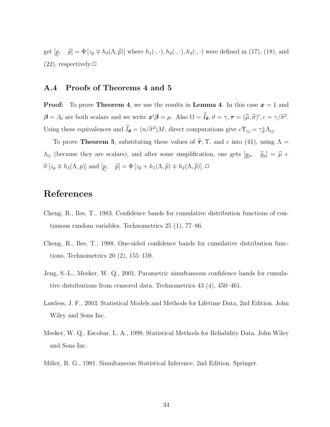get  $[p,$  $(22)$ , respectively. $\Box$  $\tilde{p}$  =  $\Phi$  [ $z_{\tilde{p}} \mp h_3(\Lambda, \tilde{p})$ ] where  $h_1(\cdot, \cdot), h_2(\cdot, \cdot), h_3(\cdot, \cdot)$  were defined in (17), (18), and

#### A.4 Proofs of Theorems 4 and 5

**Proof:** To prove **Theorem 4**, we use the results in **Lemma 4**. In this case  $x = 1$  and  $\boldsymbol{\beta} = \beta_0$  are both scalars and we write  $\boldsymbol{x}'\boldsymbol{\beta} = \mu$ . Also  $\Omega = \tilde{I}_{\boldsymbol{\theta}}, \vartheta = \gamma, \boldsymbol{\tau} = (\hat{\mu}, \hat{\sigma})', c = \gamma/\hat{\sigma}^2$ . Using these equivalences and  $\hat{I}_{\theta} = (n/\hat{\sigma}^2)M$ , direct computations give  $c\Upsilon_{ij} = \gamma_F^s \Lambda_{ij}$ .

To prove **Theorem 5**, substituting these values of  $\hat{\tau}$ ,  $\Upsilon$ , and c into (41), using  $\Lambda$  =  $\lambda_{ij}$  (because they are scalars), and after some simplification, one gets  $[y_p, \quad \tilde{y}_p] = \hat{\mu} + \hat{\mu}$  $\widehat{\sigma}[z_p \mp h_3(\Lambda, p)]$  and  $[\underline{p}, \quad \widetilde{p}] = \Phi[z_{\widehat{p}} + h_1(\Lambda, \widehat{p}) \mp h_2(\Lambda, \widehat{p})]$ .

### References

- Cheng, R., Iles, T., 1983. Confidence bands for cumulative distribution functions of continuous random variables. Technometrics 25 (1), 77–86.
- Cheng, R., Iles, T., 1988. One-sided confidence bands for cumulative distribution functions. Technometrics 20 (2), 155–159.
- Jeng, S.-L., Meeker, W. Q., 2001. Parametric simultaneous confidence bands for cumulative distributions from censored data. Technometrics 43 (4), 450–461.
- Lawless, J. F., 2003. Statistical Models and Methods for Lifetime Data, 2nd Edition. John Wiley and Sons Inc.
- Meeker, W. Q., Escobar, L. A., 1998. Statistical Methods for Reliability Data. John Wiley and Sons Inc.
- Miller, R. G., 1981. Simultaneous Statistical Inference, 2nd Edition. Springer.